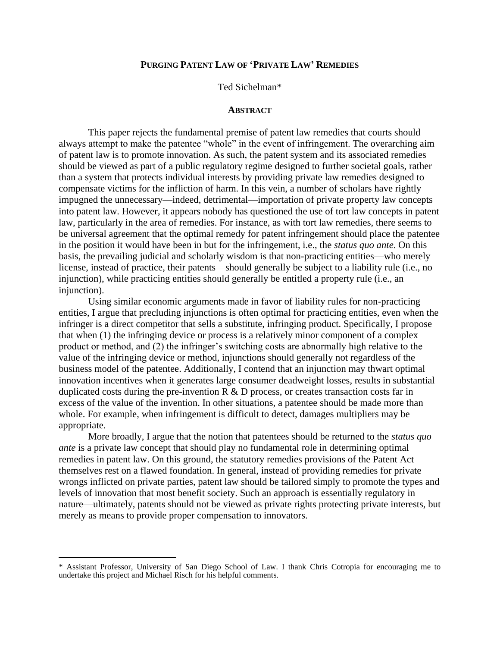Ted Sichelman\*

#### **ABSTRACT**

This paper rejects the fundamental premise of patent law remedies that courts should always attempt to make the patentee "whole" in the event of infringement. The overarching aim of patent law is to promote innovation. As such, the patent system and its associated remedies should be viewed as part of a public regulatory regime designed to further societal goals, rather than a system that protects individual interests by providing private law remedies designed to compensate victims for the infliction of harm. In this vein, a number of scholars have rightly impugned the unnecessary—indeed, detrimental—importation of private property law concepts into patent law. However, it appears nobody has questioned the use of tort law concepts in patent law, particularly in the area of remedies. For instance, as with tort law remedies, there seems to be universal agreement that the optimal remedy for patent infringement should place the patentee in the position it would have been in but for the infringement, i.e., the *status quo ante*. On this basis, the prevailing judicial and scholarly wisdom is that non-practicing entities—who merely license, instead of practice, their patents—should generally be subject to a liability rule (i.e., no injunction), while practicing entities should generally be entitled a property rule (i.e., an injunction).

Using similar economic arguments made in favor of liability rules for non-practicing entities, I argue that precluding injunctions is often optimal for practicing entities, even when the infringer is a direct competitor that sells a substitute, infringing product. Specifically, I propose that when (1) the infringing device or process is a relatively minor component of a complex product or method, and (2) the infringer"s switching costs are abnormally high relative to the value of the infringing device or method, injunctions should generally not regardless of the business model of the patentee. Additionally, I contend that an injunction may thwart optimal innovation incentives when it generates large consumer deadweight losses, results in substantial duplicated costs during the pre-invention  $R \& D$  process, or creates transaction costs far in excess of the value of the invention. In other situations, a patentee should be made more than whole. For example, when infringement is difficult to detect, damages multipliers may be appropriate.

More broadly, I argue that the notion that patentees should be returned to the *status quo ante* is a private law concept that should play no fundamental role in determining optimal remedies in patent law. On this ground, the statutory remedies provisions of the Patent Act themselves rest on a flawed foundation. In general, instead of providing remedies for private wrongs inflicted on private parties, patent law should be tailored simply to promote the types and levels of innovation that most benefit society. Such an approach is essentially regulatory in nature—ultimately, patents should not be viewed as private rights protecting private interests, but merely as means to provide proper compensation to innovators.

<sup>\*</sup> Assistant Professor, University of San Diego School of Law. I thank Chris Cotropia for encouraging me to undertake this project and Michael Risch for his helpful comments.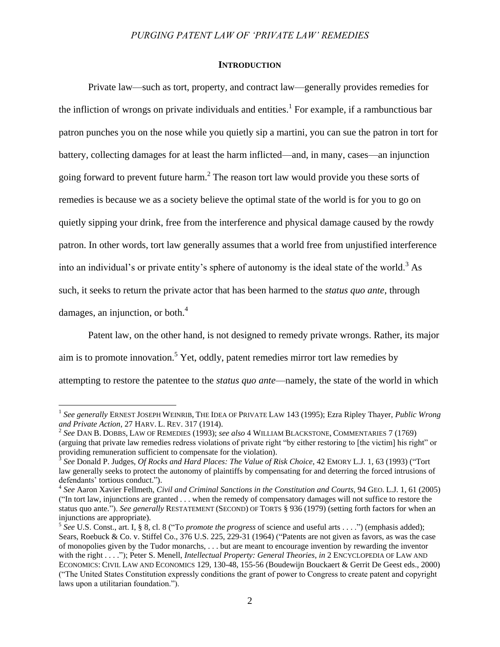#### **INTRODUCTION**

Private law—such as tort, property, and contract law—generally provides remedies for the infliction of wrongs on private individuals and entities.<sup>1</sup> For example, if a rambunctious bar patron punches you on the nose while you quietly sip a martini, you can sue the patron in tort for battery, collecting damages for at least the harm inflicted—and, in many, cases—an injunction going forward to prevent future harm.<sup>2</sup> The reason tort law would provide you these sorts of remedies is because we as a society believe the optimal state of the world is for you to go on quietly sipping your drink, free from the interference and physical damage caused by the rowdy patron. In other words, tort law generally assumes that a world free from unjustified interference into an individual's or private entity's sphere of autonomy is the ideal state of the world.<sup>3</sup> As such, it seeks to return the private actor that has been harmed to the *status quo ante*, through damages, an injunction, or both. $4$ 

<span id="page-1-0"></span>Patent law, on the other hand, is not designed to remedy private wrongs. Rather, its major aim is to promote innovation.<sup>5</sup> Yet, oddly, patent remedies mirror tort law remedies by attempting to restore the patentee to the *status quo ante*—namely, the state of the world in which

<sup>1</sup> *See generally* ERNEST JOSEPH WEINRIB, THE IDEA OF PRIVATE LAW 143 (1995); Ezra Ripley Thayer, *Public Wrong and Private Action*, 27 HARV. L. REV. 317 (1914).

<sup>2</sup> *See* DAN B. DOBBS, LAW OF REMEDIES (1993); *see also* 4 WILLIAM BLACKSTONE, COMMENTARIES 7 (1769) (arguing that private law remedies redress violations of private right "by either restoring to [the victim] his right" or providing remuneration sufficient to compensate for the violation).

<sup>3</sup> *See* Donald P. Judges, *Of Rocks and Hard Places: The Value of Risk Choice*, 42 EMORY L.J. 1, 63 (1993) ("Tort law generally seeks to protect the autonomy of plaintiffs by compensating for and deterring the forced intrusions of defendants' tortious conduct.").

<sup>&</sup>lt;sup>4</sup> See Aaron Xavier Fellmeth, *Civil and Criminal Sanctions in the Constitution and Courts*, 94 GEO. L.J. 1, 61 (2005) ("In tort law, injunctions are granted . . . when the remedy of compensatory damages will not suffice to restore the status quo ante."). *See generally* RESTATEMENT (SECOND) OF TORTS § 936 (1979) (setting forth factors for when an injunctions are appropriate).

<sup>5</sup> *See* U.S. Const., art. I, § 8, cl. 8 ("To *promote the progress* of science and useful arts . . . .") (emphasis added); Sears, Roebuck & Co. v. Stiffel Co., 376 U.S. 225, 229-31 (1964) ("Patents are not given as favors, as was the case of monopolies given by the Tudor monarchs, . . . but are meant to encourage invention by rewarding the inventor with the right . . . ."); Peter S. Menell, *Intellectual Property: General Theories*, *in* 2 ENCYCLOPEDIA OF LAW AND ECONOMICS: CIVIL LAW AND ECONOMICS 129, 130-48, 155-56 (Boudewijn Bouckaert & Gerrit De Geest eds., 2000) ("The United States Constitution expressly conditions the grant of power to Congress to create patent and copyright laws upon a utilitarian foundation.").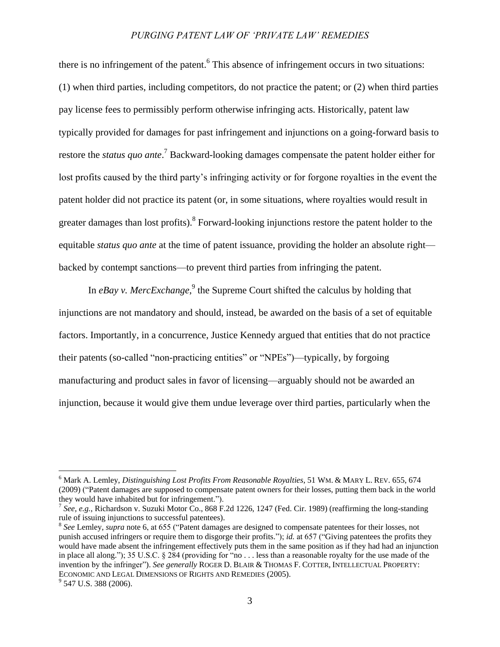<span id="page-2-0"></span>there is no infringement of the patent.<sup>6</sup> This absence of infringement occurs in two situations: (1) when third parties, including competitors, do not practice the patent; or (2) when third parties pay license fees to permissibly perform otherwise infringing acts. Historically, patent law typically provided for damages for past infringement and injunctions on a going-forward basis to restore the *status quo ante*. <sup>7</sup> Backward-looking damages compensate the patent holder either for lost profits caused by the third party's infringing activity or for forgone royalties in the event the patent holder did not practice its patent (or, in some situations, where royalties would result in greater damages than lost profits). <sup>8</sup> Forward-looking injunctions restore the patent holder to the equitable *status quo ante* at the time of patent issuance, providing the holder an absolute right backed by contempt sanctions—to prevent third parties from infringing the patent.

<span id="page-2-1"></span>In *eBay v. MercExchange*,<sup>9</sup> the Supreme Court shifted the calculus by holding that injunctions are not mandatory and should, instead, be awarded on the basis of a set of equitable factors. Importantly, in a concurrence, Justice Kennedy argued that entities that do not practice their patents (so-called "non-practicing entities" or "NPEs")—typically, by forgoing manufacturing and product sales in favor of licensing—arguably should not be awarded an injunction, because it would give them undue leverage over third parties, particularly when the

<sup>6</sup> Mark A. Lemley, *Distinguishing Lost Profits From Reasonable Royalties*, 51 WM. & MARY L. REV. 655, 674 (2009) ("Patent damages are supposed to compensate patent owners for their losses, putting them back in the world they would have inhabited but for infringement.").

<sup>&</sup>lt;sup>7</sup> See, e.g., Richardson v. Suzuki Motor Co., 868 F.2d 1226, 1247 (Fed. Cir. 1989) (reaffirming the long-standing rule of issuing injunctions to successful patentees).

<sup>8</sup> *See* Lemley, *supra* not[e 6,](#page-2-0) at 655 ("Patent damages are designed to compensate patentees for their losses, not punish accused infringers or require them to disgorge their profits."); *id.* at 657 ("Giving patentees the profits they would have made absent the infringement effectively puts them in the same position as if they had had an injunction in place all along."); 35 U.S.C. § 284 (providing for "no . . . less than a reasonable royalty for the use made of the invention by the infringer"). *See generally* ROGER D. BLAIR & THOMAS F. COTTER, INTELLECTUAL PROPERTY: ECONOMIC AND LEGAL DIMENSIONS OF RIGHTS AND REMEDIES (2005). <sup>9</sup> 547 U.S. 388 (2006).

<sup>3</sup>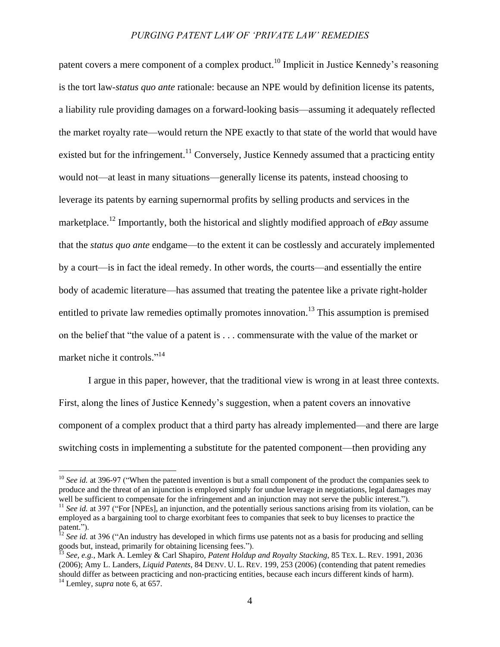patent covers a mere component of a complex product.<sup>10</sup> Implicit in Justice Kennedy's reasoning is the tort law-*status quo ante* rationale: because an NPE would by definition license its patents, a liability rule providing damages on a forward-looking basis—assuming it adequately reflected the market royalty rate—would return the NPE exactly to that state of the world that would have existed but for the infringement.<sup>11</sup> Conversely, Justice Kennedy assumed that a practicing entity would not—at least in many situations—generally license its patents, instead choosing to leverage its patents by earning supernormal profits by selling products and services in the marketplace.<sup>12</sup> Importantly, both the historical and slightly modified approach of *eBay* assume that the *status quo ante* endgame—to the extent it can be costlessly and accurately implemented by a court—is in fact the ideal remedy. In other words, the courts—and essentially the entire body of academic literature—has assumed that treating the patentee like a private right-holder entitled to private law remedies optimally promotes innovation.<sup>13</sup> This assumption is premised on the belief that "the value of a patent is . . . commensurate with the value of the market or market niche it controls."<sup>14</sup>

<span id="page-3-0"></span>I argue in this paper, however, that the traditional view is wrong in at least three contexts. First, along the lines of Justice Kennedy"s suggestion, when a patent covers an innovative component of a complex product that a third party has already implemented—and there are large switching costs in implementing a substitute for the patented component—then providing any

<sup>&</sup>lt;sup>10</sup> *See id.* at 396-97 ("When the patented invention is but a small component of the product the companies seek to produce and the threat of an injunction is employed simply for undue leverage in negotiations, legal damages may well be sufficient to compensate for the infringement and an injunction may not serve the public interest.").

<sup>&</sup>lt;sup>11</sup> *See id.* at 397 ("For [NPEs], an injunction, and the potentially serious sanctions arising from its violation, can be employed as a bargaining tool to charge exorbitant fees to companies that seek to buy licenses to practice the patent.").

<sup>&</sup>lt;sup>12</sup> *See id.* at 396 ("An industry has developed in which firms use patents not as a basis for producing and selling goods but, instead, primarily for obtaining licensing fees.").

<sup>13</sup> *See, e.g.*, Mark A. Lemley & Carl Shapiro, *Patent Holdup and Royalty Stacking*, 85 TEX. L. REV. 1991, 2036 (2006); Amy L. Landers, *Liquid Patents*, 84 DENV. U. L. REV. 199, 253 (2006) (contending that patent remedies should differ as between practicing and non-practicing entities, because each incurs different kinds of harm). <sup>14</sup> Lemley, *supra* not[e 6,](#page-2-0) at 657.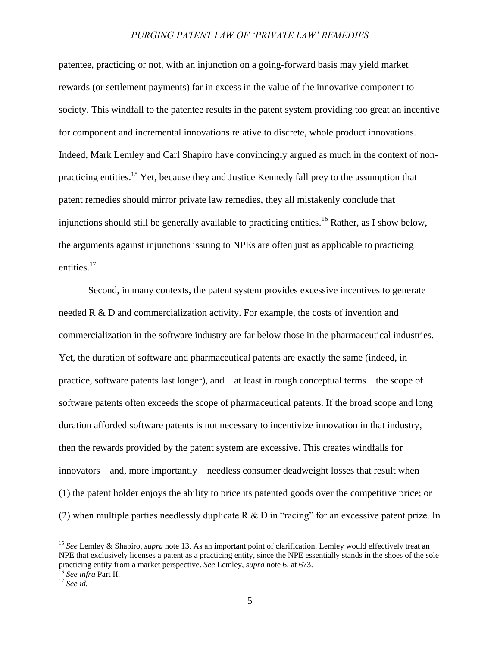patentee, practicing or not, with an injunction on a going-forward basis may yield market rewards (or settlement payments) far in excess in the value of the innovative component to society. This windfall to the patentee results in the patent system providing too great an incentive for component and incremental innovations relative to discrete, whole product innovations. Indeed, Mark Lemley and Carl Shapiro have convincingly argued as much in the context of nonpracticing entities.<sup>15</sup> Yet, because they and Justice Kennedy fall prey to the assumption that patent remedies should mirror private law remedies, they all mistakenly conclude that injunctions should still be generally available to practicing entities.<sup>16</sup> Rather, as I show below, the arguments against injunctions issuing to NPEs are often just as applicable to practicing entities.<sup>17</sup>

Second, in many contexts, the patent system provides excessive incentives to generate needed R & D and commercialization activity. For example, the costs of invention and commercialization in the software industry are far below those in the pharmaceutical industries. Yet, the duration of software and pharmaceutical patents are exactly the same (indeed, in practice, software patents last longer), and—at least in rough conceptual terms—the scope of software patents often exceeds the scope of pharmaceutical patents. If the broad scope and long duration afforded software patents is not necessary to incentivize innovation in that industry, then the rewards provided by the patent system are excessive. This creates windfalls for innovators—and, more importantly—needless consumer deadweight losses that result when (1) the patent holder enjoys the ability to price its patented goods over the competitive price; or (2) when multiple parties needlessly duplicate R  $\&$  D in "racing" for an excessive patent prize. In

<sup>15</sup> *See* Lemley & Shapiro, *supra* note [13.](#page-3-0) As an important point of clarification, Lemley would effectively treat an NPE that exclusively licenses a patent as a practicing entity, since the NPE essentially stands in the shoes of the sole practicing entity from a market perspective. *See* Lemley, *supra* note [6,](#page-2-0) at 673.

<sup>16</sup> *See infra* Part II.

<sup>17</sup> *See id.*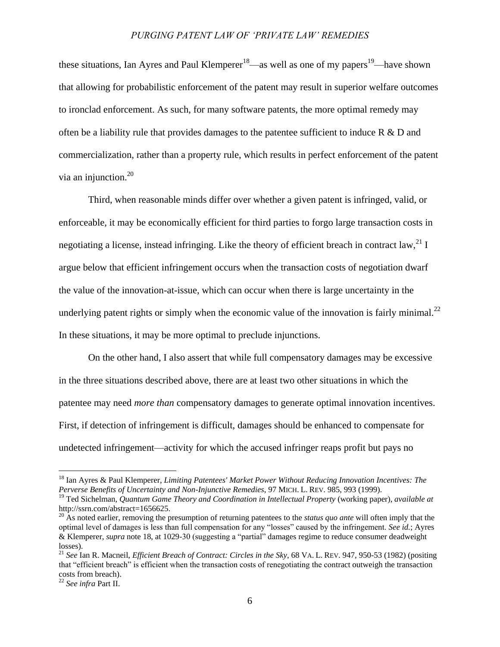<span id="page-5-1"></span><span id="page-5-0"></span>these situations, Ian Ayres and Paul Klemperer<sup>18</sup>—as well as one of my papers<sup>19</sup>—have shown that allowing for probabilistic enforcement of the patent may result in superior welfare outcomes to ironclad enforcement. As such, for many software patents, the more optimal remedy may often be a liability rule that provides damages to the patentee sufficient to induce R & D and commercialization, rather than a property rule, which results in perfect enforcement of the patent via an injunction.<sup>20</sup>

<span id="page-5-2"></span>Third, when reasonable minds differ over whether a given patent is infringed, valid, or enforceable, it may be economically efficient for third parties to forgo large transaction costs in negotiating a license, instead infringing. Like the theory of efficient breach in contract law,  $^{21}$  I argue below that efficient infringement occurs when the transaction costs of negotiation dwarf the value of the innovation-at-issue, which can occur when there is large uncertainty in the underlying patent rights or simply when the economic value of the innovation is fairly minimal.<sup>22</sup> In these situations, it may be more optimal to preclude injunctions.

On the other hand, I also assert that while full compensatory damages may be excessive in the three situations described above, there are at least two other situations in which the patentee may need *more than* compensatory damages to generate optimal innovation incentives. First, if detection of infringement is difficult, damages should be enhanced to compensate for undetected infringement—activity for which the accused infringer reaps profit but pays no

<sup>18</sup> Ian Ayres & Paul Klemperer, *Limiting Patentees' Market Power Without Reducing Innovation Incentives: The Perverse Benefits of Uncertainty and Non-Injunctive Remedies*, 97 MICH. L. REV. 985, 993 (1999).

<sup>19</sup> Ted Sichelman, *Quantum Game Theory and Coordination in Intellectual Property* (working paper), *available at* http://ssrn.com/abstract=1656625.

<sup>&</sup>lt;sup>20</sup> As noted earlier, removing the presumption of returning patentees to the *status quo ante* will often imply that the optimal level of damages is less than full compensation for any "losses" caused by the infringement. *See id.*; Ayres & Klemperer, *supra* note [18,](#page-5-0) at 1029-30 (suggesting a "partial" damages regime to reduce consumer deadweight losses).

<sup>21</sup> *See* Ian R. Macneil, *Efficient Breach of Contract: Circles in the Sky*, 68 VA. L. REV. 947, 950-53 (1982) (positing that "efficient breach" is efficient when the transaction costs of renegotiating the contract outweigh the transaction costs from breach).

<sup>22</sup> *See infra* Part II.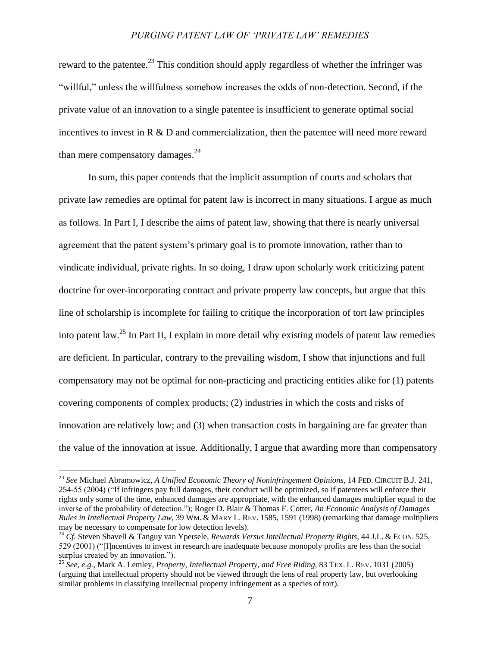<span id="page-6-1"></span>reward to the patentee.<sup>23</sup> This condition should apply regardless of whether the infringer was "willful," unless the willfulness somehow increases the odds of non-detection. Second, if the private value of an innovation to a single patentee is insufficient to generate optimal social incentives to invest in  $R \& D$  and commercialization, then the patentee will need more reward than mere compensatory damages. $^{24}$ 

<span id="page-6-2"></span>In sum, this paper contends that the implicit assumption of courts and scholars that private law remedies are optimal for patent law is incorrect in many situations. I argue as much as follows. In Part I, I describe the aims of patent law, showing that there is nearly universal agreement that the patent system"s primary goal is to promote innovation, rather than to vindicate individual, private rights. In so doing, I draw upon scholarly work criticizing patent doctrine for over-incorporating contract and private property law concepts, but argue that this line of scholarship is incomplete for failing to critique the incorporation of tort law principles into patent law.<sup>25</sup> In Part II, I explain in more detail why existing models of patent law remedies are deficient. In particular, contrary to the prevailing wisdom, I show that injunctions and full compensatory may not be optimal for non-practicing and practicing entities alike for (1) patents covering components of complex products; (2) industries in which the costs and risks of innovation are relatively low; and (3) when transaction costs in bargaining are far greater than the value of the innovation at issue. Additionally, I argue that awarding more than compensatory

<span id="page-6-0"></span><sup>23</sup> *See* Michael Abramowicz, *A Unified Economic Theory of Noninfringement Opinions*, 14 FED. CIRCUIT B.J. 241, 254-55 (2004) ("If infringers pay full damages, their conduct will be optimized, so if patentees will enforce their rights only some of the time, enhanced damages are appropriate, with the enhanced damages multiplier equal to the inverse of the probability of detection."); Roger D. Blair & Thomas F. Cotter, *An Economic Analysis of Damages Rules in Intellectual Property Law*, 39 WM. & MARY L. REV. 1585, 1591 (1998) (remarking that damage multipliers may be necessary to compensate for low detection levels).

<sup>24</sup> *Cf.* Steven Shavell & Tanguy van Ypersele, *Rewards Versus Intellectual Property Rights*, 44 J.L. & ECON. 525, 529 (2001) ("[I]ncentives to invest in research are inadequate because monopoly profits are less than the social surplus created by an innovation.").

<sup>25</sup> *See, e.g.*, Mark A. Lemley, *Property, Intellectual Property, and Free Riding*, 83 TEX. L. REV. 1031 (2005) (arguing that intellectual property should not be viewed through the lens of real property law, but overlooking similar problems in classifying intellectual property infringement as a species of tort).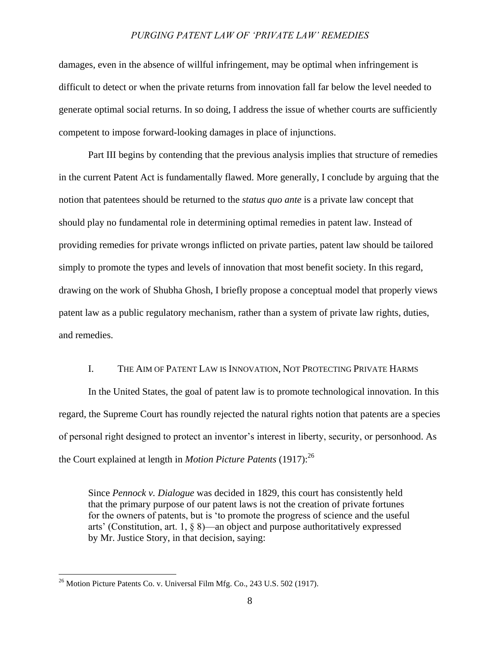damages, even in the absence of willful infringement, may be optimal when infringement is difficult to detect or when the private returns from innovation fall far below the level needed to generate optimal social returns. In so doing, I address the issue of whether courts are sufficiently competent to impose forward-looking damages in place of injunctions.

Part III begins by contending that the previous analysis implies that structure of remedies in the current Patent Act is fundamentally flawed. More generally, I conclude by arguing that the notion that patentees should be returned to the *status quo ante* is a private law concept that should play no fundamental role in determining optimal remedies in patent law. Instead of providing remedies for private wrongs inflicted on private parties, patent law should be tailored simply to promote the types and levels of innovation that most benefit society. In this regard, drawing on the work of Shubha Ghosh, I briefly propose a conceptual model that properly views patent law as a public regulatory mechanism, rather than a system of private law rights, duties, and remedies.

# I. THE AIM OF PATENT LAW IS INNOVATION, NOT PROTECTING PRIVATE HARMS

In the United States, the goal of patent law is to promote technological innovation. In this regard, the Supreme Court has roundly rejected the natural rights notion that patents are a species of personal right designed to protect an inventor"s interest in liberty, security, or personhood. As the Court explained at length in *Motion Picture Patents* (1917): 26

Since *Pennock v. Dialogue* was decided in 1829, this court has consistently held that the primary purpose of our patent laws is not the creation of private fortunes for the owners of patents, but is "to promote the progress of science and the useful arts" (Constitution, art. 1, § 8)—an object and purpose authoritatively expressed by Mr. Justice Story, in that decision, saying:

 $^{26}$  Motion Picture Patents Co. v. Universal Film Mfg. Co., 243 U.S. 502 (1917).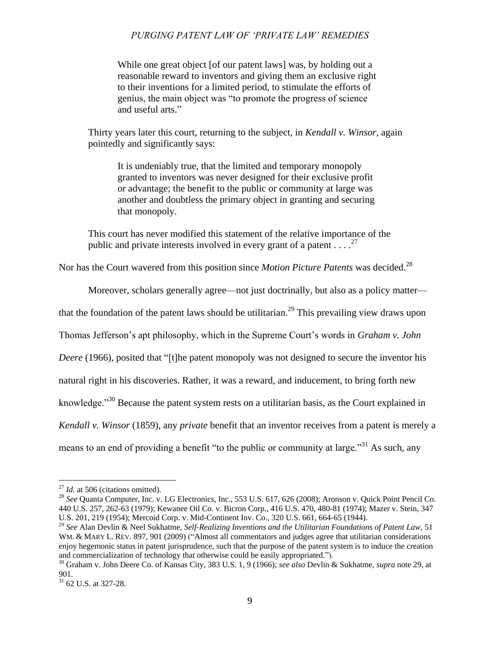While one great object [of our patent laws] was, by holding out a reasonable reward to inventors and giving them an exclusive right to their inventions for a limited period, to stimulate the efforts of genius, the main object was "to promote the progress of science and useful arts."

Thirty years later this court, returning to the subject, in *Kendall v. Winsor*, again pointedly and significantly says:

It is undeniably true, that the limited and temporary monopoly granted to inventors was never designed for their exclusive profit or advantage; the benefit to the public or community at large was another and doubtless the primary object in granting and securing that monopoly.

This court has never modified this statement of the relative importance of the public and private interests involved in every grant of a patent  $\dots$ <sup>27</sup>

Nor has the Court wavered from this position since *Motion Picture Patents* was decided.<sup>28</sup>

<span id="page-8-0"></span>Moreover, scholars generally agree—not just doctrinally, but also as a policy matter—

that the foundation of the patent laws should be utilitarian.<sup>29</sup> This prevailing view draws upon

Thomas Jefferson"s apt philosophy, which in the Supreme Court"s words in *Graham v. John* 

*Deere* (1966), posited that "[t]he patent monopoly was not designed to secure the inventor his

natural right in his discoveries. Rather, it was a reward, and inducement, to bring forth new

knowledge."<sup>30</sup> Because the patent system rests on a utilitarian basis, as the Court explained in

*Kendall v. Winsor* (1859), any *private* benefit that an inventor receives from a patent is merely a

means to an end of providing a benefit "to the public or community at large."<sup>31</sup> As such, any

<sup>&</sup>lt;sup>27</sup> *Id.* at 506 (citations omitted).

<sup>28</sup> *See* Quanta Computer, Inc. v. LG Electronics, Inc., 553 U.S. 617, 626 (2008); Aronson v. Quick Point Pencil Co. 440 U.S. 257, 262-63 (1979); Kewanee Oil Co. v. Bicron Corp., 416 U.S. 470, 480-81 (1974); Mazer v. Stein, 347 U.S. 201, 219 (1954); Mercoid Corp. v. Mid-Continent Inv. Co., 320 U.S. 661, 664-65 (1944).

<sup>29</sup> *See* Alan Devlin & Neel Sukhatme, *Self-Realizing Inventions and the Utilitarian Foundations of Patent Law*, 51 WM. & MARY L. REV. 897, 901 (2009) ("Almost all commentators and judges agree that utilitarian considerations enjoy hegemonic status in patent jurisprudence, such that the purpose of the patent system is to induce the creation and commercialization of technology that otherwise could be easily appropriated.").

<sup>30</sup> Graham v. John Deere Co. of Kansas City, 383 U.S. 1, 9 (1966); *see also* Devlin & Sukhatme, *supra* note [29,](#page-8-0) at 901.

<sup>31</sup> 62 U.S. at 327-28.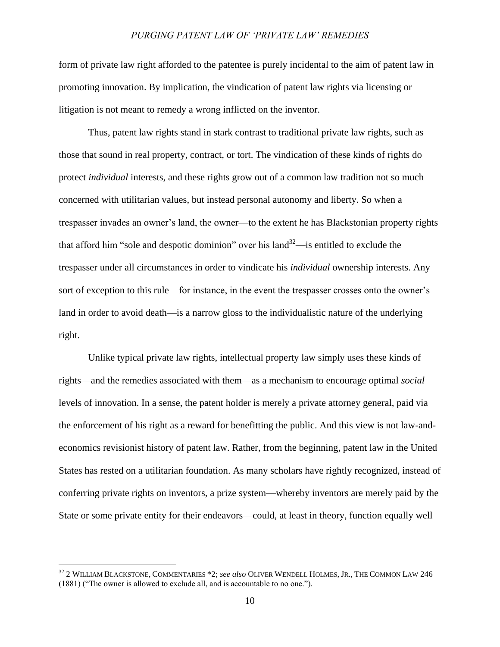form of private law right afforded to the patentee is purely incidental to the aim of patent law in promoting innovation. By implication, the vindication of patent law rights via licensing or litigation is not meant to remedy a wrong inflicted on the inventor.

Thus, patent law rights stand in stark contrast to traditional private law rights, such as those that sound in real property, contract, or tort. The vindication of these kinds of rights do protect *individual* interests, and these rights grow out of a common law tradition not so much concerned with utilitarian values, but instead personal autonomy and liberty. So when a trespasser invades an owner"s land, the owner—to the extent he has Blackstonian property rights that afford him "sole and despotic dominion" over his land  $32$ —is entitled to exclude the trespasser under all circumstances in order to vindicate his *individual* ownership interests. Any sort of exception to this rule—for instance, in the event the trespasser crosses onto the owner's land in order to avoid death—is a narrow gloss to the individualistic nature of the underlying right.

Unlike typical private law rights, intellectual property law simply uses these kinds of rights—and the remedies associated with them—as a mechanism to encourage optimal *social* levels of innovation. In a sense, the patent holder is merely a private attorney general, paid via the enforcement of his right as a reward for benefitting the public. And this view is not law-andeconomics revisionist history of patent law. Rather, from the beginning, patent law in the United States has rested on a utilitarian foundation. As many scholars have rightly recognized, instead of conferring private rights on inventors, a prize system—whereby inventors are merely paid by the State or some private entity for their endeavors—could, at least in theory, function equally well

<sup>32</sup> 2 WILLIAM BLACKSTONE, COMMENTARIES \*2; *see also* OLIVER WENDELL HOLMES, JR., THE COMMON LAW 246 (1881) ("The owner is allowed to exclude all, and is accountable to no one.").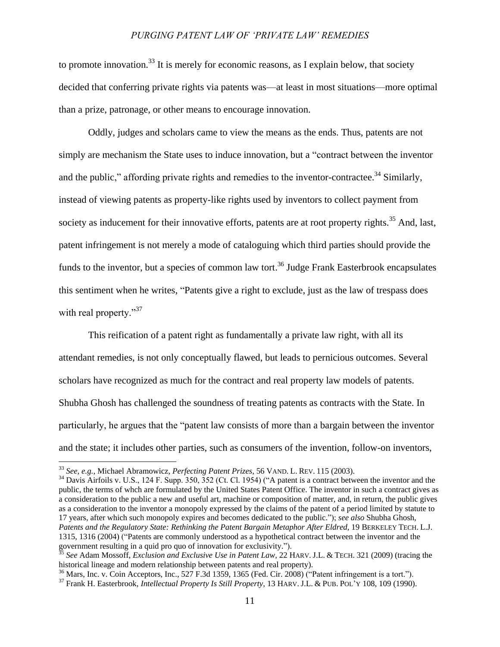to promote innovation.<sup>33</sup> It is merely for economic reasons, as I explain below, that society decided that conferring private rights via patents was—at least in most situations—more optimal than a prize, patronage, or other means to encourage innovation.

<span id="page-10-0"></span>Oddly, judges and scholars came to view the means as the ends. Thus, patents are not simply are mechanism the State uses to induce innovation, but a "contract between the inventor and the public," affording private rights and remedies to the inventor-contractee.<sup>34</sup> Similarly, instead of viewing patents as property-like rights used by inventors to collect payment from society as inducement for their innovative efforts, patents are at root property rights.<sup>35</sup> And, last, patent infringement is not merely a mode of cataloguing which third parties should provide the funds to the inventor, but a species of common law tort.<sup>36</sup> Judge Frank Easterbrook encapsulates this sentiment when he writes, "Patents give a right to exclude, just as the law of trespass does with real property."<sup>37</sup>

This reification of a patent right as fundamentally a private law right, with all its attendant remedies, is not only conceptually flawed, but leads to pernicious outcomes. Several scholars have recognized as much for the contract and real property law models of patents. Shubha Ghosh has challenged the soundness of treating patents as contracts with the State. In particularly, he argues that the "patent law consists of more than a bargain between the inventor and the state; it includes other parties, such as consumers of the invention, follow-on inventors,

<sup>33</sup> *See, e.g.*, Michael Abramowicz, *Perfecting Patent Prizes*, 56 VAND. L. REV. 115 (2003).

<sup>&</sup>lt;sup>34</sup> Davis Airfoils v. U.S., 124 F. Supp. 350, 352 (Ct. Cl. 1954) ("A patent is a contract between the inventor and the public, the terms of whch are formulated by the United States Patent Office. The inventor in such a contract gives as a consideration to the public a new and useful art, machine or composition of matter, and, in return, the public gives as a consideration to the inventor a monopoly expressed by the claims of the patent of a period limited by statute to 17 years, after which such monopoly expires and becomes dedicated to the public."); *see also* Shubha Ghosh, *Patents and the Regulatory State: Rethinking the Patent Bargain Metaphor After Eldred*, 19 BERKELEY TECH. L.J. 1315, 1316 (2004) ("Patents are commonly understood as a hypothetical contract between the inventor and the government resulting in a quid pro quo of innovation for exclusivity.").

<sup>35</sup> *See* Adam Mossoff, *Exclusion and Exclusive Use in Patent Law*, 22 HARV. J.L. & TECH. 321 (2009) (tracing the historical lineage and modern relationship between patents and real property).

 $36$  Mars, Inc. v. Coin Acceptors, Inc., 527 F.3d 1359, 1365 (Fed. Cir. 2008) ("Patent infringement is a tort.").

<sup>37</sup> Frank H. Easterbrook, *Intellectual Property Is Still Property*, 13 HARV. J.L. & PUB. POL"<sup>Y</sup> 108, 109 (1990).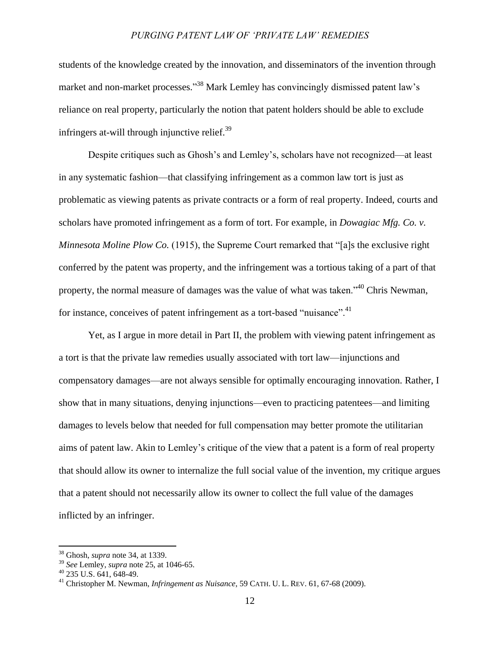students of the knowledge created by the innovation, and disseminators of the invention through market and non-market processes."<sup>38</sup> Mark Lemley has convincingly dismissed patent law's reliance on real property, particularly the notion that patent holders should be able to exclude infringers at-will through injunctive relief.<sup>39</sup>

Despite critiques such as Ghosh"s and Lemley"s, scholars have not recognized—at least in any systematic fashion—that classifying infringement as a common law tort is just as problematic as viewing patents as private contracts or a form of real property. Indeed, courts and scholars have promoted infringement as a form of tort. For example, in *Dowagiac Mfg. Co. v. Minnesota Moline Plow Co.* (1915), the Supreme Court remarked that "[a]s the exclusive right conferred by the patent was property, and the infringement was a tortious taking of a part of that property, the normal measure of damages was the value of what was taken."<sup>40</sup> Chris Newman, for instance, conceives of patent infringement as a tort-based "nuisance".<sup>41</sup>

Yet, as I argue in more detail in Part II, the problem with viewing patent infringement as a tort is that the private law remedies usually associated with tort law—injunctions and compensatory damages—are not always sensible for optimally encouraging innovation. Rather, I show that in many situations, denying injunctions—even to practicing patentees—and limiting damages to levels below that needed for full compensation may better promote the utilitarian aims of patent law. Akin to Lemley"s critique of the view that a patent is a form of real property that should allow its owner to internalize the full social value of the invention, my critique argues that a patent should not necessarily allow its owner to collect the full value of the damages inflicted by an infringer.

<sup>38</sup> Ghosh, *supra* note [34,](#page-10-0) at 1339.

<sup>39</sup> *See* Lemley, *supra* note [25,](#page-6-0) at 1046-65.

<sup>40</sup> 235 U.S. 641, 648-49.

<sup>41</sup> Christopher M. Newman, *Infringement as Nuisance*, 59 CATH. U. L. REV. 61, 67-68 (2009).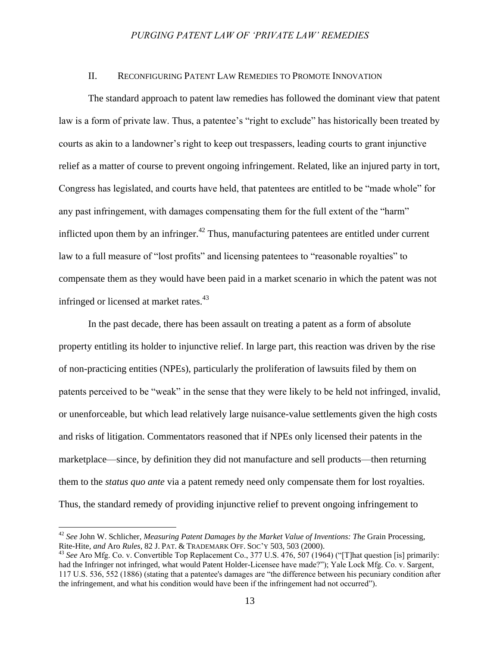#### II. RECONFIGURING PATENT LAW REMEDIES TO PROMOTE INNOVATION

The standard approach to patent law remedies has followed the dominant view that patent law is a form of private law. Thus, a patentee's "right to exclude" has historically been treated by courts as akin to a landowner"s right to keep out trespassers, leading courts to grant injunctive relief as a matter of course to prevent ongoing infringement. Related, like an injured party in tort, Congress has legislated, and courts have held, that patentees are entitled to be "made whole" for any past infringement, with damages compensating them for the full extent of the "harm" inflicted upon them by an infringer.<sup>42</sup> Thus, manufacturing patentees are entitled under current law to a full measure of "lost profits" and licensing patentees to "reasonable royalties" to compensate them as they would have been paid in a market scenario in which the patent was not infringed or licensed at market rates.<sup>43</sup>

In the past decade, there has been assault on treating a patent as a form of absolute property entitling its holder to injunctive relief. In large part, this reaction was driven by the rise of non-practicing entities (NPEs), particularly the proliferation of lawsuits filed by them on patents perceived to be "weak" in the sense that they were likely to be held not infringed, invalid, or unenforceable, but which lead relatively large nuisance-value settlements given the high costs and risks of litigation. Commentators reasoned that if NPEs only licensed their patents in the marketplace—since, by definition they did not manufacture and sell products—then returning them to the *status quo ante* via a patent remedy need only compensate them for lost royalties. Thus, the standard remedy of providing injunctive relief to prevent ongoing infringement to

<sup>42</sup> *See* John W. Schlicher, *Measuring Patent Damages by the Market Value of Inventions: The* Grain Processing, Rite-Hite, *and* Aro *Rules*, 82 J. PAT. & TRADEMARK OFF. SOC"Y 503, 503 (2000).

<sup>43</sup> *See* Aro Mfg. Co. v. Convertible Top Replacement Co., 377 U.S. 476, 507 (1964) ("[T]hat question [is] primarily: had the Infringer not infringed, what would Patent Holder-Licensee have made?"); Yale Lock Mfg. Co. v. Sargent, 117 U.S. 536, 552 (1886) (stating that a patentee's damages are "the difference between his pecuniary condition after the infringement, and what his condition would have been if the infringement had not occurred").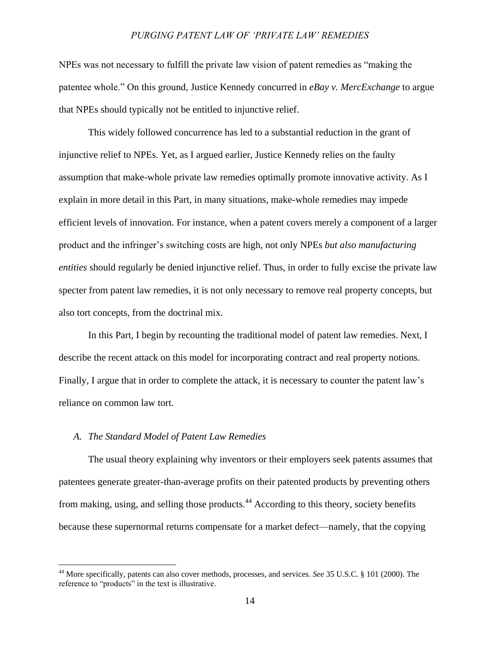NPEs was not necessary to fulfill the private law vision of patent remedies as "making the patentee whole." On this ground, Justice Kennedy concurred in *eBay v. MercExchange* to argue that NPEs should typically not be entitled to injunctive relief.

This widely followed concurrence has led to a substantial reduction in the grant of injunctive relief to NPEs. Yet, as I argued earlier, Justice Kennedy relies on the faulty assumption that make-whole private law remedies optimally promote innovative activity. As I explain in more detail in this Part, in many situations, make-whole remedies may impede efficient levels of innovation. For instance, when a patent covers merely a component of a larger product and the infringer"s switching costs are high, not only NPEs *but also manufacturing entities* should regularly be denied injunctive relief. Thus, in order to fully excise the private law specter from patent law remedies, it is not only necessary to remove real property concepts, but also tort concepts, from the doctrinal mix.

In this Part, I begin by recounting the traditional model of patent law remedies. Next, I describe the recent attack on this model for incorporating contract and real property notions. Finally, I argue that in order to complete the attack, it is necessary to counter the patent law"s reliance on common law tort.

# *A. The Standard Model of Patent Law Remedies*

 $\overline{a}$ 

The usual theory explaining why inventors or their employers seek patents assumes that patentees generate greater-than-average profits on their patented products by preventing others from making, using, and selling those products.<sup>44</sup> According to this theory, society benefits because these supernormal returns compensate for a market defect—namely, that the copying

<sup>44</sup> More specifically, patents can also cover methods, processes, and services. *See* 35 U.S.C. § 101 (2000). The reference to "products" in the text is illustrative.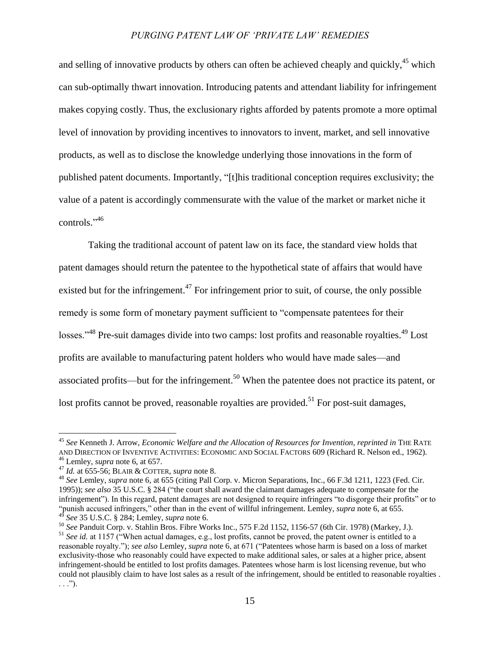and selling of innovative products by others can often be achieved cheaply and quickly,<sup>45</sup> which can sub-optimally thwart innovation. Introducing patents and attendant liability for infringement makes copying costly. Thus, the exclusionary rights afforded by patents promote a more optimal level of innovation by providing incentives to innovators to invent, market, and sell innovative products, as well as to disclose the knowledge underlying those innovations in the form of published patent documents. Importantly, "[t]his traditional conception requires exclusivity; the value of a patent is accordingly commensurate with the value of the market or market niche it controls." 46

Taking the traditional account of patent law on its face, the standard view holds that patent damages should return the patentee to the hypothetical state of affairs that would have existed but for the infringement.<sup>47</sup> For infringement prior to suit, of course, the only possible remedy is some form of monetary payment sufficient to "compensate patentees for their losses."<sup>48</sup> Pre-suit damages divide into two camps: lost profits and reasonable royalties.<sup>49</sup> Lost profits are available to manufacturing patent holders who would have made sales—and associated profits—but for the infringement.<sup>50</sup> When the patentee does not practice its patent, or lost profits cannot be proved, reasonable royalties are provided.<sup>51</sup> For post-suit damages,

 $\overline{a}$ 

<sup>50</sup> *See* Panduit Corp. v. Stahlin Bros. Fibre Works Inc., 575 F.2d 1152, 1156-57 (6th Cir. 1978) (Markey, J.).

<sup>45</sup> *See* Kenneth J. Arrow, *Economic Welfare and the Allocation of Resources for Invention*, *reprinted in* THE RATE AND DIRECTION OF INVENTIVE ACTIVITIES: ECONOMIC AND SOCIAL FACTORS 609 (Richard R. Nelson ed., 1962). <sup>46</sup> Lemley, *supra* not[e 6,](#page-2-0) at 657.

<sup>47</sup> *Id.* at 655-56; BLAIR & COTTER, *supra* note [8.](#page-2-1)

<sup>48</sup> *See* Lemley, *supra* note [6,](#page-2-0) at 655 (citing Pall Corp. v. Micron Separations, Inc., 66 F.3d 1211, 1223 (Fed. Cir. 1995)); *see also* 35 U.S.C. § 284 ("the court shall award the claimant damages adequate to compensate for the infringement"). In this regard, patent damages are not designed to require infringers "to disgorge their profits" or to "punish accused infringers," other than in the event of willful infringement. Lemley, *supra* note [6,](#page-2-0) at 655. <sup>49</sup> *See* 35 U.S.C. § 284; Lemley, *supra* not[e 6.](#page-2-0)

<sup>&</sup>lt;sup>51</sup> See id. at 1157 ("When actual damages, e.g., lost profits, cannot be proved, the patent owner is entitled to a reasonable royalty."); *see also* Lemley, *supra* note [6,](#page-2-0) at 671 ("Patentees whose harm is based on a loss of market exclusivity-those who reasonably could have expected to make additional sales, or sales at a higher price, absent infringement-should be entitled to lost profits damages. Patentees whose harm is lost licensing revenue, but who could not plausibly claim to have lost sales as a result of the infringement, should be entitled to reasonable royalties .  $\ldots$ .").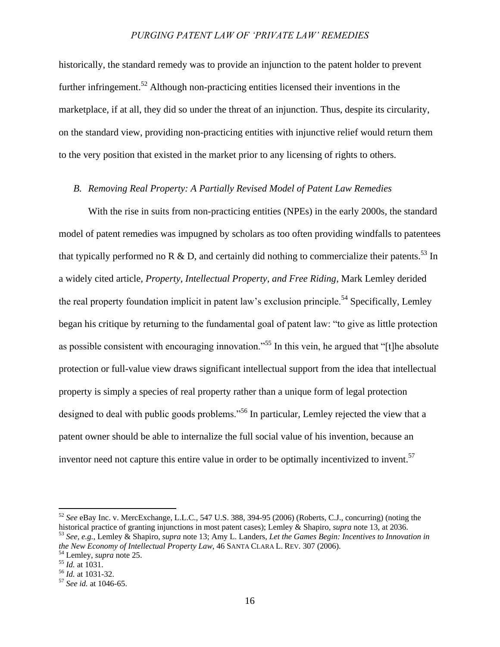historically, the standard remedy was to provide an injunction to the patent holder to prevent further infringement.<sup>52</sup> Although non-practicing entities licensed their inventions in the marketplace, if at all, they did so under the threat of an injunction. Thus, despite its circularity, on the standard view, providing non-practicing entities with injunctive relief would return them to the very position that existed in the market prior to any licensing of rights to others.

# *B. Removing Real Property: A Partially Revised Model of Patent Law Remedies*

With the rise in suits from non-practicing entities (NPEs) in the early 2000s, the standard model of patent remedies was impugned by scholars as too often providing windfalls to patentees that typically performed no R & D, and certainly did nothing to commercialize their patents.<sup>53</sup> In a widely cited article, *Property, Intellectual Property, and Free Riding*, Mark Lemley derided the real property foundation implicit in patent law's exclusion principle.<sup>54</sup> Specifically, Lemley began his critique by returning to the fundamental goal of patent law: "to give as little protection as possible consistent with encouraging innovation."<sup>55</sup> In this vein, he argued that "[t]he absolute protection or full-value view draws significant intellectual support from the idea that intellectual property is simply a species of real property rather than a unique form of legal protection designed to deal with public goods problems.<sup>556</sup> In particular, Lemley rejected the view that a patent owner should be able to internalize the full social value of his invention, because an inventor need not capture this entire value in order to be optimally incentivized to invent.<sup>57</sup>

<sup>52</sup> *See* eBay Inc. v. MercExchange, L.L.C., 547 U.S. 388, 394-95 (2006) (Roberts, C.J., concurring) (noting the historical practice of granting injunctions in most patent cases); Lemley & Shapiro, *supra* not[e 13,](#page-3-0) at 2036. <sup>53</sup> *See, e.g.*, Lemley & Shapiro, *supra* not[e 13;](#page-3-0) Amy L. Landers, *Let the Games Begin: Incentives to Innovation in the New Economy of Intellectual Property Law*, 46 SANTA CLARA L. REV. 307 (2006).

<sup>54</sup> Lemley, *supra* not[e 25.](#page-6-0)

<sup>55</sup> *Id.* at 1031.

<sup>56</sup> *Id.* at 1031-32.

<sup>57</sup> *See id.* at 1046-65.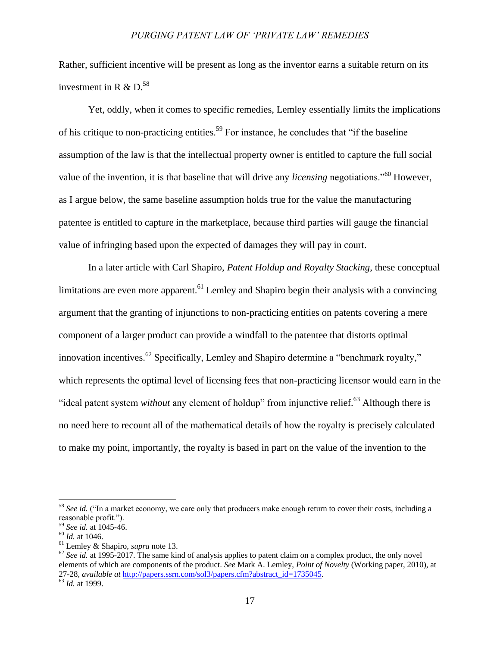Rather, sufficient incentive will be present as long as the inventor earns a suitable return on its investment in R  $\&$  D.<sup>58</sup>

Yet, oddly, when it comes to specific remedies, Lemley essentially limits the implications of his critique to non-practicing entities.<sup>59</sup> For instance, he concludes that "if the baseline assumption of the law is that the intellectual property owner is entitled to capture the full social value of the invention, it is that baseline that will drive any *licensing* negotiations."<sup>60</sup> However, as I argue below, the same baseline assumption holds true for the value the manufacturing patentee is entitled to capture in the marketplace, because third parties will gauge the financial value of infringing based upon the expected of damages they will pay in court.

In a later article with Carl Shapiro, *Patent Holdup and Royalty Stacking*, these conceptual limitations are even more apparent.<sup>61</sup> Lemley and Shapiro begin their analysis with a convincing argument that the granting of injunctions to non-practicing entities on patents covering a mere component of a larger product can provide a windfall to the patentee that distorts optimal innovation incentives.<sup>62</sup> Specifically, Lemley and Shapiro determine a "benchmark royalty," which represents the optimal level of licensing fees that non-practicing licensor would earn in the "ideal patent system *without* any element of holdup" from injunctive relief.<sup>63</sup> Although there is no need here to recount all of the mathematical details of how the royalty is precisely calculated to make my point, importantly, the royalty is based in part on the value of the invention to the

<sup>&</sup>lt;sup>58</sup> See id. ("In a market economy, we care only that producers make enough return to cover their costs, including a reasonable profit.").

<sup>59</sup> *See id.* at 1045-46.

<sup>60</sup> *Id.* at 1046.

<sup>61</sup> Lemley & Shapiro, *supra* note [13.](#page-3-0)

 $62$  *See id.* at 1995-2017. The same kind of analysis applies to patent claim on a complex product, the only novel elements of which are components of the product. *See* Mark A. Lemley, *Point of Novelty* (Working paper, 2010), at 27-28, *available at* [http://papers.ssrn.com/sol3/papers.cfm?abstract\\_id=1735045.](http://papers.ssrn.com/sol3/papers.cfm?abstract_id=1735045)

<sup>63</sup> *Id.* at 1999.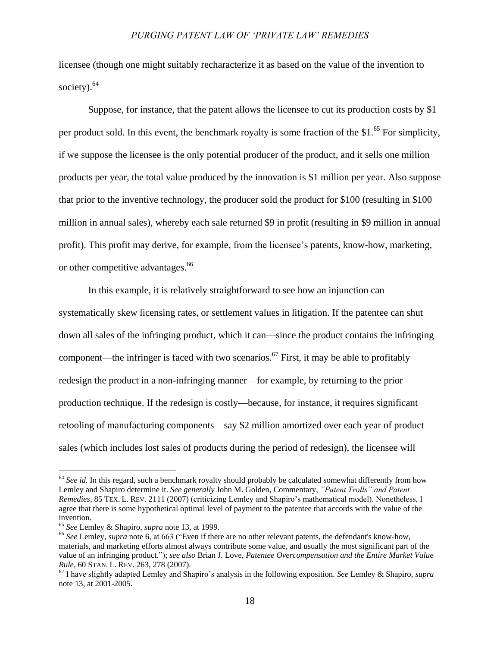<span id="page-17-0"></span>licensee (though one might suitably recharacterize it as based on the value of the invention to society). $64$ 

Suppose, for instance, that the patent allows the licensee to cut its production costs by \$1 per product sold. In this event, the benchmark royalty is some fraction of the \$1.<sup>65</sup> For simplicity, if we suppose the licensee is the only potential producer of the product, and it sells one million products per year, the total value produced by the innovation is \$1 million per year. Also suppose that prior to the inventive technology, the producer sold the product for \$100 (resulting in \$100 million in annual sales), whereby each sale returned \$9 in profit (resulting in \$9 million in annual profit). This profit may derive, for example, from the licensee"s patents, know-how, marketing, or other competitive advantages.<sup>66</sup>

In this example, it is relatively straightforward to see how an injunction can systematically skew licensing rates, or settlement values in litigation. If the patentee can shut down all sales of the infringing product, which it can—since the product contains the infringing component—the infringer is faced with two scenarios. <sup>67</sup> First, it may be able to profitably redesign the product in a non-infringing manner—for example, by returning to the prior production technique. If the redesign is costly—because, for instance, it requires significant retooling of manufacturing components—say \$2 million amortized over each year of product sales (which includes lost sales of products during the period of redesign), the licensee will

<sup>&</sup>lt;sup>64</sup> See id. In this regard, such a benchmark royalty should probably be calculated somewhat differently from how Lemley and Shapiro determine it. *See generally* John M. Golden, Commentary, *"Patent Trolls" and Patent Remedies*, 85 TEX. L. REV. 2111 (2007) (criticizing Lemley and Shapiro"s mathematical model). Nonetheless, I agree that there is some hypothetical optimal level of payment to the patentee that accords with the value of the invention.

<sup>65</sup> *See* Lemley & Shapiro, *supra* note [13,](#page-3-0) at 1999.

<sup>66</sup> *See* Lemley, *supra* note [6,](#page-2-0) at 663 ("Even if there are no other relevant patents, the defendant's know-how, materials, and marketing efforts almost always contribute some value, and usually the most significant part of the value of an infringing product."); *see also* Brian J. Love, *Patentee Overcompensation and the Entire Market Value Rule*, 60 STAN. L. REV. 263, 278 (2007).

<sup>67</sup> I have slightly adapted Lemley and Shapiro"s analysis in the following exposition. *See* Lemley & Shapiro, *supra* not[e 13,](#page-3-0) at 2001-2005.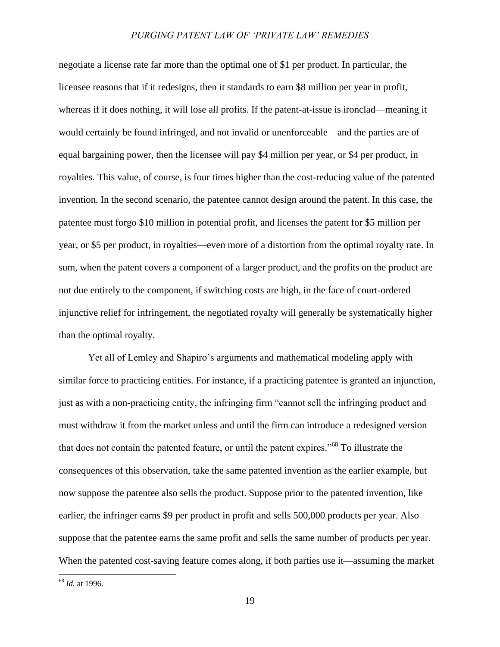negotiate a license rate far more than the optimal one of \$1 per product. In particular, the licensee reasons that if it redesigns, then it standards to earn \$8 million per year in profit, whereas if it does nothing, it will lose all profits. If the patent-at-issue is ironclad—meaning it would certainly be found infringed, and not invalid or unenforceable—and the parties are of equal bargaining power, then the licensee will pay \$4 million per year, or \$4 per product, in royalties. This value, of course, is four times higher than the cost-reducing value of the patented invention. In the second scenario, the patentee cannot design around the patent. In this case, the patentee must forgo \$10 million in potential profit, and licenses the patent for \$5 million per year, or \$5 per product, in royalties—even more of a distortion from the optimal royalty rate. In sum, when the patent covers a component of a larger product, and the profits on the product are not due entirely to the component, if switching costs are high, in the face of court-ordered injunctive relief for infringement, the negotiated royalty will generally be systematically higher than the optimal royalty.

Yet all of Lemley and Shapiro"s arguments and mathematical modeling apply with similar force to practicing entities. For instance, if a practicing patentee is granted an injunction, just as with a non-practicing entity, the infringing firm "cannot sell the infringing product and must withdraw it from the market unless and until the firm can introduce a redesigned version that does not contain the patented feature, or until the patent expires."<sup>68</sup> To illustrate the consequences of this observation, take the same patented invention as the earlier example, but now suppose the patentee also sells the product. Suppose prior to the patented invention, like earlier, the infringer earns \$9 per product in profit and sells 500,000 products per year. Also suppose that the patentee earns the same profit and sells the same number of products per year. When the patented cost-saving feature comes along, if both parties use it—assuming the market

<sup>68</sup> *Id.* at 1996.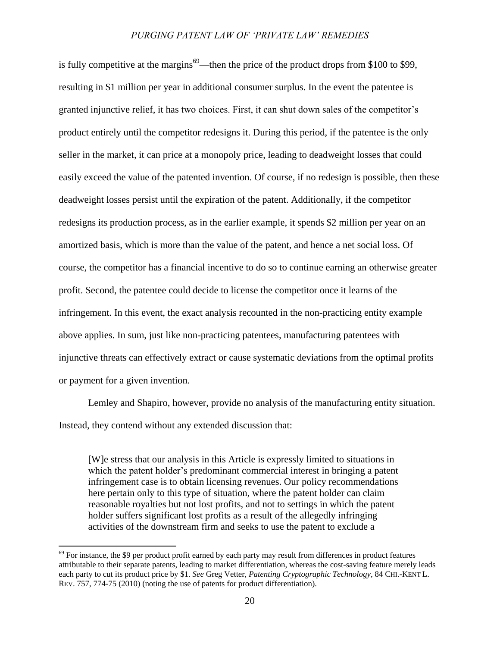is fully competitive at the margins<sup>69</sup>—then the price of the product drops from \$100 to \$99, resulting in \$1 million per year in additional consumer surplus. In the event the patentee is granted injunctive relief, it has two choices. First, it can shut down sales of the competitor"s product entirely until the competitor redesigns it. During this period, if the patentee is the only seller in the market, it can price at a monopoly price, leading to deadweight losses that could easily exceed the value of the patented invention. Of course, if no redesign is possible, then these deadweight losses persist until the expiration of the patent. Additionally, if the competitor redesigns its production process, as in the earlier example, it spends \$2 million per year on an amortized basis, which is more than the value of the patent, and hence a net social loss. Of course, the competitor has a financial incentive to do so to continue earning an otherwise greater profit. Second, the patentee could decide to license the competitor once it learns of the infringement. In this event, the exact analysis recounted in the non-practicing entity example above applies. In sum, just like non-practicing patentees, manufacturing patentees with injunctive threats can effectively extract or cause systematic deviations from the optimal profits or payment for a given invention.

Lemley and Shapiro, however, provide no analysis of the manufacturing entity situation. Instead, they contend without any extended discussion that:

[W]e stress that our analysis in this Article is expressly limited to situations in which the patent holder's predominant commercial interest in bringing a patent infringement case is to obtain licensing revenues. Our policy recommendations here pertain only to this type of situation, where the patent holder can claim reasonable royalties but not lost profits, and not to settings in which the patent holder suffers significant lost profits as a result of the allegedly infringing activities of the downstream firm and seeks to use the patent to exclude a

 $69$  For instance, the \$9 per product profit earned by each party may result from differences in product features attributable to their separate patents, leading to market differentiation, whereas the cost-saving feature merely leads each party to cut its product price by \$1. *See* Greg Vetter, *Patenting Cryptographic Technology*, 84 CHI.-KENT L. REV. 757, 774-75 (2010) (noting the use of patents for product differentiation).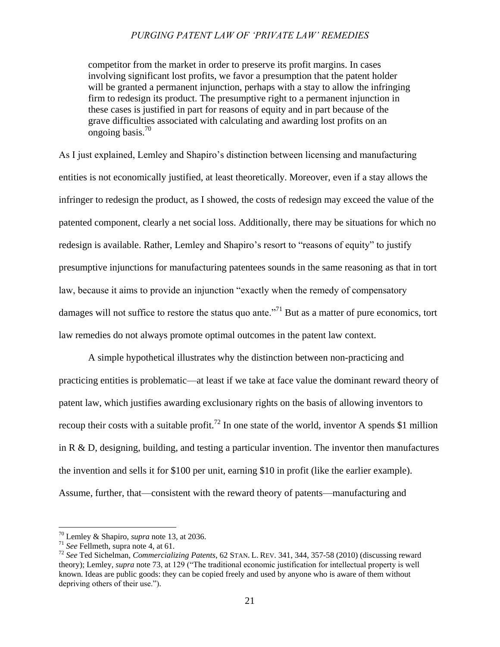competitor from the market in order to preserve its profit margins. In cases involving significant lost profits, we favor a presumption that the patent holder will be granted a permanent injunction, perhaps with a stay to allow the infringing firm to redesign its product. The presumptive right to a permanent injunction in these cases is justified in part for reasons of equity and in part because of the grave difficulties associated with calculating and awarding lost profits on an ongoing basis.<sup>70</sup>

As I just explained, Lemley and Shapiro"s distinction between licensing and manufacturing entities is not economically justified, at least theoretically. Moreover, even if a stay allows the infringer to redesign the product, as I showed, the costs of redesign may exceed the value of the patented component, clearly a net social loss. Additionally, there may be situations for which no redesign is available. Rather, Lemley and Shapiro's resort to "reasons of equity" to justify presumptive injunctions for manufacturing patentees sounds in the same reasoning as that in tort law, because it aims to provide an injunction "exactly when the remedy of compensatory damages will not suffice to restore the status quo ante.<sup>771</sup> But as a matter of pure economics, tort law remedies do not always promote optimal outcomes in the patent law context.

<span id="page-20-0"></span>A simple hypothetical illustrates why the distinction between non-practicing and practicing entities is problematic—at least if we take at face value the dominant reward theory of patent law, which justifies awarding exclusionary rights on the basis of allowing inventors to recoup their costs with a suitable profit.<sup>72</sup> In one state of the world, inventor A spends \$1 million in R & D, designing, building, and testing a particular invention. The inventor then manufactures the invention and sells it for \$100 per unit, earning \$10 in profit (like the earlier example). Assume, further, that—consistent with the reward theory of patents—manufacturing and

<sup>70</sup> Lemley & Shapiro, *supra* note [13,](#page-3-0) at 2036.

<sup>71</sup> *See* Fellmeth, supra note [4,](#page-1-0) at 61.

<sup>72</sup> *See* Ted Sichelman, *Commercializing Patents*, 62 STAN. L. REV. 341, 344, 357-58 (2010) (discussing reward theory); Lemley, *supra* not[e 73,](#page-21-0) at 129 ("The traditional economic justification for intellectual property is well known. Ideas are public goods: they can be copied freely and used by anyone who is aware of them without depriving others of their use.").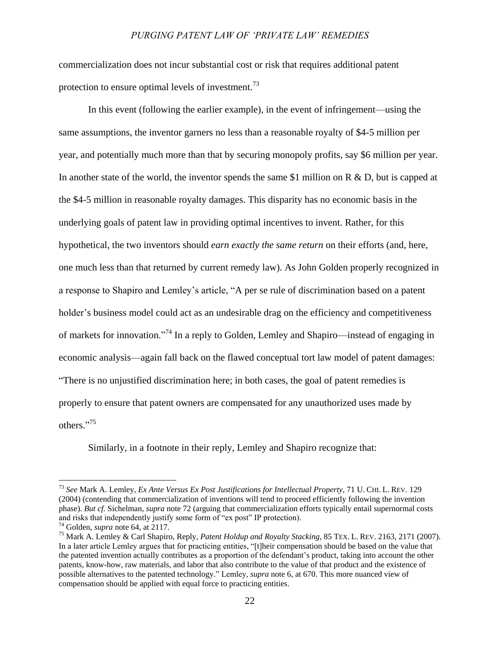commercialization does not incur substantial cost or risk that requires additional patent protection to ensure optimal levels of investment.<sup>73</sup>

<span id="page-21-0"></span>In this event (following the earlier example), in the event of infringement—using the same assumptions, the inventor garners no less than a reasonable royalty of \$4-5 million per year, and potentially much more than that by securing monopoly profits, say \$6 million per year. In another state of the world, the inventor spends the same \$1 million on  $R \& D$ , but is capped at the \$4-5 million in reasonable royalty damages. This disparity has no economic basis in the underlying goals of patent law in providing optimal incentives to invent. Rather, for this hypothetical, the two inventors should *earn exactly the same return* on their efforts (and, here, one much less than that returned by current remedy law). As John Golden properly recognized in a response to Shapiro and Lemley"s article, "A per se rule of discrimination based on a patent holder's business model could act as an undesirable drag on the efficiency and competitiveness of markets for innovation."<sup>74</sup> In a reply to Golden, Lemley and Shapiro—instead of engaging in economic analysis—again fall back on the flawed conceptual tort law model of patent damages: "There is no unjustified discrimination here; in both cases, the goal of patent remedies is properly to ensure that patent owners are compensated for any unauthorized uses made by others." 75

Similarly, in a footnote in their reply, Lemley and Shapiro recognize that:

<sup>73</sup> *See* Mark A. Lemley, *Ex Ante Versus Ex Post Justifications for Intellectual Property*, 71 U. CHI. L. REV. 129 (2004) (contending that commercialization of inventions will tend to proceed efficiently following the invention phase). *But cf.* Sichelman, *supra* note [72](#page-20-0) (arguing that commercialization efforts typically entail supernormal costs and risks that independently justify some form of "ex post" IP protection).

<sup>74</sup> Golden, *supra* note [64,](#page-17-0) at 2117.

<sup>75</sup> Mark A. Lemley & Carl Shapiro, Reply, *Patent Holdup and Royalty Stacking*, 85 TEX. L. REV. 2163, 2171 (2007). In a later article Lemley argues that for practicing entities, "[t]heir compensation should be based on the value that the patented invention actually contributes as a proportion of the defendant"s product, taking into account the other patents, know-how, raw materials, and labor that also contribute to the value of that product and the existence of possible alternatives to the patented technology." Lemley, *supra* not[e 6,](#page-2-0) at 670. This more nuanced view of compensation should be applied with equal force to practicing entities.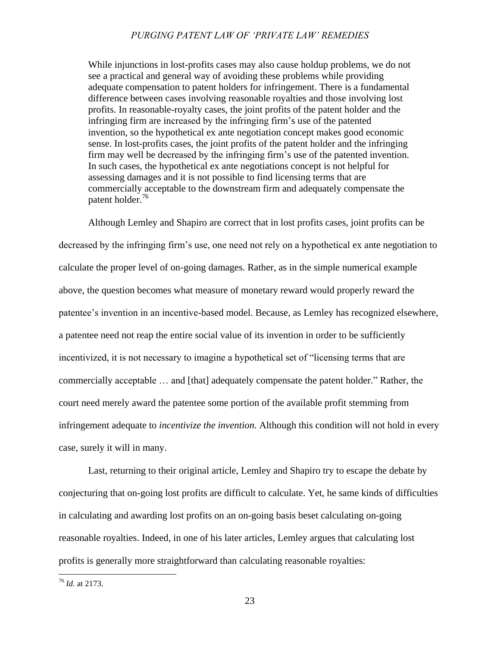While injunctions in lost-profits cases may also cause holdup problems, we do not see a practical and general way of avoiding these problems while providing adequate compensation to patent holders for infringement. There is a fundamental difference between cases involving reasonable royalties and those involving lost profits. In reasonable-royalty cases, the joint profits of the patent holder and the infringing firm are increased by the infringing firm"s use of the patented invention, so the hypothetical ex ante negotiation concept makes good economic sense. In lost-profits cases, the joint profits of the patent holder and the infringing firm may well be decreased by the infringing firm"s use of the patented invention. In such cases, the hypothetical ex ante negotiations concept is not helpful for assessing damages and it is not possible to find licensing terms that are commercially acceptable to the downstream firm and adequately compensate the patent holder.<sup>76</sup>

Although Lemley and Shapiro are correct that in lost profits cases, joint profits can be decreased by the infringing firm"s use, one need not rely on a hypothetical ex ante negotiation to calculate the proper level of on-going damages. Rather, as in the simple numerical example above, the question becomes what measure of monetary reward would properly reward the patentee"s invention in an incentive-based model. Because, as Lemley has recognized elsewhere, a patentee need not reap the entire social value of its invention in order to be sufficiently incentivized, it is not necessary to imagine a hypothetical set of "licensing terms that are commercially acceptable … and [that] adequately compensate the patent holder." Rather, the court need merely award the patentee some portion of the available profit stemming from infringement adequate to *incentivize the invention*. Although this condition will not hold in every case, surely it will in many.

Last, returning to their original article, Lemley and Shapiro try to escape the debate by conjecturing that on-going lost profits are difficult to calculate. Yet, he same kinds of difficulties in calculating and awarding lost profits on an on-going basis beset calculating on-going reasonable royalties. Indeed, in one of his later articles, Lemley argues that calculating lost profits is generally more straightforward than calculating reasonable royalties:

<sup>76</sup> *Id.* at 2173.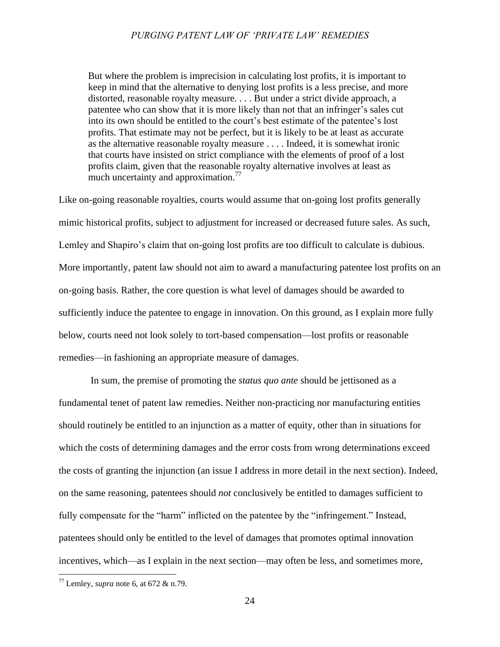But where the problem is imprecision in calculating lost profits, it is important to keep in mind that the alternative to denying lost profits is a less precise, and more distorted, reasonable royalty measure. . . . But under a strict divide approach, a patentee who can show that it is more likely than not that an infringer"s sales cut into its own should be entitled to the court"s best estimate of the patentee"s lost profits. That estimate may not be perfect, but it is likely to be at least as accurate as the alternative reasonable royalty measure . . . . Indeed, it is somewhat ironic that courts have insisted on strict compliance with the elements of proof of a lost profits claim, given that the reasonable royalty alternative involves at least as much uncertainty and approximation.<sup>77</sup>

Like on-going reasonable royalties, courts would assume that on-going lost profits generally mimic historical profits, subject to adjustment for increased or decreased future sales. As such, Lemley and Shapiro's claim that on-going lost profits are too difficult to calculate is dubious. More importantly, patent law should not aim to award a manufacturing patentee lost profits on an on-going basis. Rather, the core question is what level of damages should be awarded to sufficiently induce the patentee to engage in innovation. On this ground, as I explain more fully below, courts need not look solely to tort-based compensation—lost profits or reasonable remedies—in fashioning an appropriate measure of damages.

In sum, the premise of promoting the *status quo ante* should be jettisoned as a fundamental tenet of patent law remedies. Neither non-practicing nor manufacturing entities should routinely be entitled to an injunction as a matter of equity, other than in situations for which the costs of determining damages and the error costs from wrong determinations exceed the costs of granting the injunction (an issue I address in more detail in the next section). Indeed, on the same reasoning, patentees should *not* conclusively be entitled to damages sufficient to fully compensate for the "harm" inflicted on the patentee by the "infringement." Instead, patentees should only be entitled to the level of damages that promotes optimal innovation incentives, which—as I explain in the next section—may often be less, and sometimes more,

<sup>77</sup> Lemley, *supra* not[e 6,](#page-2-0) at 672 & n.79.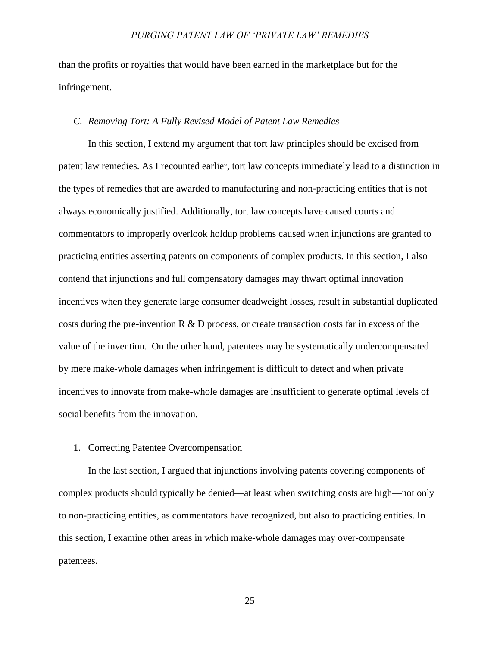than the profits or royalties that would have been earned in the marketplace but for the infringement.

#### *C. Removing Tort: A Fully Revised Model of Patent Law Remedies*

In this section, I extend my argument that tort law principles should be excised from patent law remedies. As I recounted earlier, tort law concepts immediately lead to a distinction in the types of remedies that are awarded to manufacturing and non-practicing entities that is not always economically justified. Additionally, tort law concepts have caused courts and commentators to improperly overlook holdup problems caused when injunctions are granted to practicing entities asserting patents on components of complex products. In this section, I also contend that injunctions and full compensatory damages may thwart optimal innovation incentives when they generate large consumer deadweight losses, result in substantial duplicated costs during the pre-invention R  $\&$  D process, or create transaction costs far in excess of the value of the invention. On the other hand, patentees may be systematically undercompensated by mere make-whole damages when infringement is difficult to detect and when private incentives to innovate from make-whole damages are insufficient to generate optimal levels of social benefits from the innovation.

## 1. Correcting Patentee Overcompensation

In the last section, I argued that injunctions involving patents covering components of complex products should typically be denied—at least when switching costs are high—not only to non-practicing entities, as commentators have recognized, but also to practicing entities. In this section, I examine other areas in which make-whole damages may over-compensate patentees.

25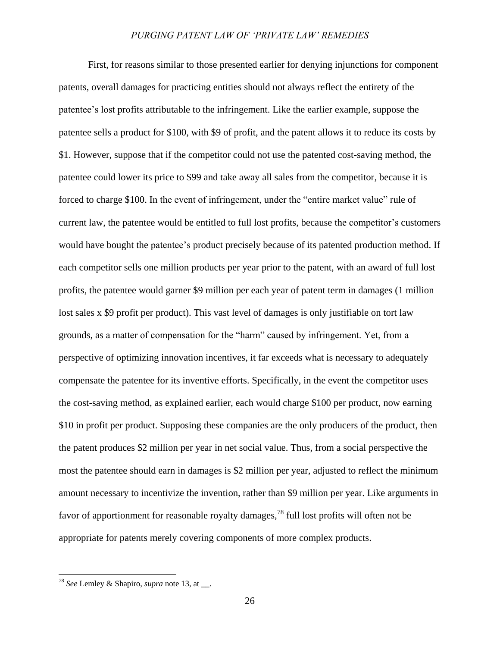First, for reasons similar to those presented earlier for denying injunctions for component patents, overall damages for practicing entities should not always reflect the entirety of the patentee"s lost profits attributable to the infringement. Like the earlier example, suppose the patentee sells a product for \$100, with \$9 of profit, and the patent allows it to reduce its costs by \$1. However, suppose that if the competitor could not use the patented cost-saving method, the patentee could lower its price to \$99 and take away all sales from the competitor, because it is forced to charge \$100. In the event of infringement, under the "entire market value" rule of current law, the patentee would be entitled to full lost profits, because the competitor's customers would have bought the patentee's product precisely because of its patented production method. If each competitor sells one million products per year prior to the patent, with an award of full lost profits, the patentee would garner \$9 million per each year of patent term in damages (1 million lost sales x \$9 profit per product). This vast level of damages is only justifiable on tort law grounds, as a matter of compensation for the "harm" caused by infringement. Yet, from a perspective of optimizing innovation incentives, it far exceeds what is necessary to adequately compensate the patentee for its inventive efforts. Specifically, in the event the competitor uses the cost-saving method, as explained earlier, each would charge \$100 per product, now earning \$10 in profit per product. Supposing these companies are the only producers of the product, then the patent produces \$2 million per year in net social value. Thus, from a social perspective the most the patentee should earn in damages is \$2 million per year, adjusted to reflect the minimum amount necessary to incentivize the invention, rather than \$9 million per year. Like arguments in favor of apportionment for reasonable royalty damages,<sup>78</sup> full lost profits will often not be appropriate for patents merely covering components of more complex products.

<sup>78</sup> *See* Lemley & Shapiro, *supra* note [13,](#page-3-0) at \_\_.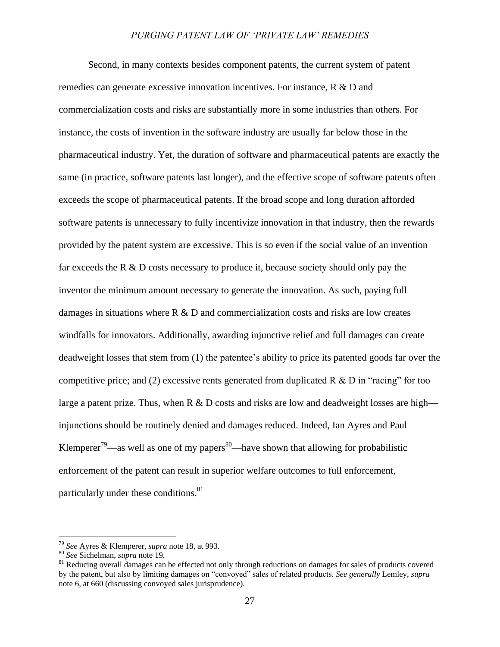Second, in many contexts besides component patents, the current system of patent remedies can generate excessive innovation incentives. For instance, R & D and commercialization costs and risks are substantially more in some industries than others. For instance, the costs of invention in the software industry are usually far below those in the pharmaceutical industry. Yet, the duration of software and pharmaceutical patents are exactly the same (in practice, software patents last longer), and the effective scope of software patents often exceeds the scope of pharmaceutical patents. If the broad scope and long duration afforded software patents is unnecessary to fully incentivize innovation in that industry, then the rewards provided by the patent system are excessive. This is so even if the social value of an invention far exceeds the R & D costs necessary to produce it, because society should only pay the inventor the minimum amount necessary to generate the innovation. As such, paying full damages in situations where  $R \& D$  and commercialization costs and risks are low creates windfalls for innovators. Additionally, awarding injunctive relief and full damages can create deadweight losses that stem from (1) the patentee"s ability to price its patented goods far over the competitive price; and (2) excessive rents generated from duplicated R  $\&$  D in "racing" for too large a patent prize. Thus, when R  $\&$  D costs and risks are low and deadweight losses are high injunctions should be routinely denied and damages reduced. Indeed, Ian Ayres and Paul Klemperer<sup>79</sup>—as well as one of my papers<sup>80</sup>—have shown that allowing for probabilistic enforcement of the patent can result in superior welfare outcomes to full enforcement, particularly under these conditions.<sup>81</sup>

<sup>79</sup> *See* Ayres & Klemperer, *supra* note [18,](#page-5-0) at 993.

<sup>80</sup> *See* Sichelman, *supra* not[e 19.](#page-5-1)

<sup>&</sup>lt;sup>81</sup> Reducing overall damages can be effected not only through reductions on damages for sales of products covered by the patent, but also by limiting damages on "convoyed" sales of related products. *See generally* Lemley, *supra* not[e 6,](#page-2-0) at 660 (discussing convoyed sales jurisprudence).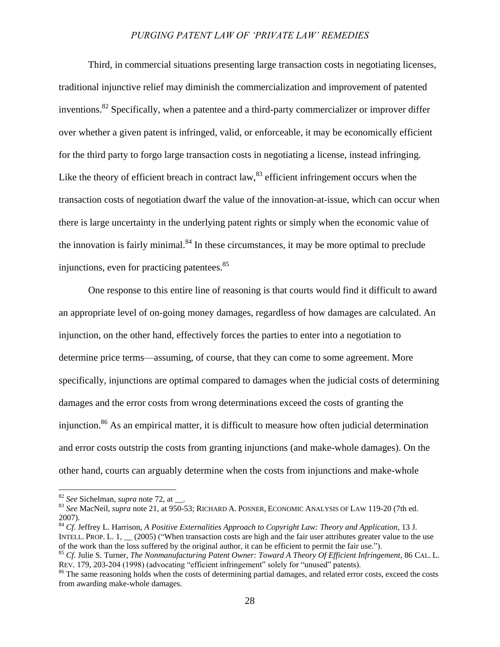Third, in commercial situations presenting large transaction costs in negotiating licenses, traditional injunctive relief may diminish the commercialization and improvement of patented inventions.<sup>82</sup> Specifically, when a patentee and a third-party commercializer or improver differ over whether a given patent is infringed, valid, or enforceable, it may be economically efficient for the third party to forgo large transaction costs in negotiating a license, instead infringing. Like the theory of efficient breach in contract law, $83$  efficient infringement occurs when the transaction costs of negotiation dwarf the value of the innovation-at-issue, which can occur when there is large uncertainty in the underlying patent rights or simply when the economic value of the innovation is fairly minimal. $84$  In these circumstances, it may be more optimal to preclude injunctions, even for practicing patentees.<sup>85</sup>

One response to this entire line of reasoning is that courts would find it difficult to award an appropriate level of on-going money damages, regardless of how damages are calculated. An injunction, on the other hand, effectively forces the parties to enter into a negotiation to determine price terms—assuming, of course, that they can come to some agreement. More specifically, injunctions are optimal compared to damages when the judicial costs of determining damages and the error costs from wrong determinations exceed the costs of granting the injunction.<sup>86</sup> As an empirical matter, it is difficult to measure how often judicial determination and error costs outstrip the costs from granting injunctions (and make-whole damages). On the other hand, courts can arguably determine when the costs from injunctions and make-whole

<sup>82</sup> *See* Sichelman, *supra* not[e 72,](#page-20-0) at \_\_.

<sup>83</sup> *See* MacNeil, *supra* note [21,](#page-5-2) at 950-53; RICHARD A. POSNER, ECONOMIC ANALYSIS OF LAW 119-20 (7th ed. 2007).

<sup>84</sup> *Cf.* Jeffrey L. Harrison, *A Positive Externalities Approach to Copyright Law: Theory and Application*, 13 J. INTELL. PROP. L. 1, (2005) ("When transaction costs are high and the fair user attributes greater value to the use of the work than the loss suffered by the original author, it can be efficient to permit the fair use.").

<sup>85</sup> *Cf.* Julie S. Turner, *The Nonmanufacturing Patent Owner: Toward A Theory Of Efficient Infringement*, 86 CAL. L. REV. 179, 203-204 (1998) (advocating "efficient infringement" solely for "unused" patents).

<sup>&</sup>lt;sup>86</sup> The same reasoning holds when the costs of determining partial damages, and related error costs, exceed the costs from awarding make-whole damages.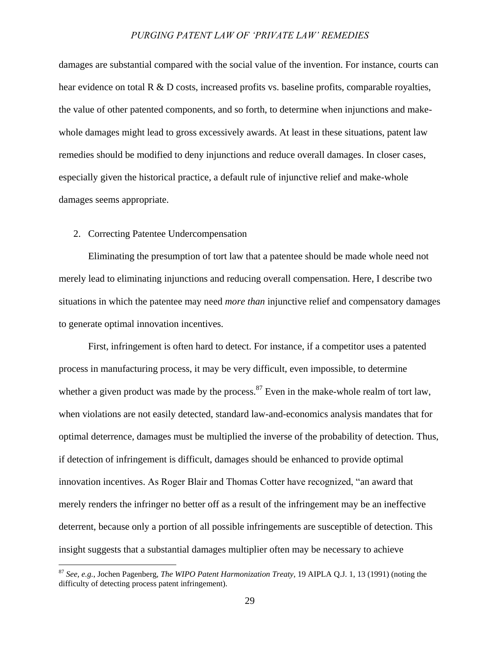damages are substantial compared with the social value of the invention. For instance, courts can hear evidence on total  $R \& D$  costs, increased profits vs. baseline profits, comparable royalties, the value of other patented components, and so forth, to determine when injunctions and makewhole damages might lead to gross excessively awards. At least in these situations, patent law remedies should be modified to deny injunctions and reduce overall damages. In closer cases, especially given the historical practice, a default rule of injunctive relief and make-whole damages seems appropriate.

# 2. Correcting Patentee Undercompensation

 $\overline{a}$ 

Eliminating the presumption of tort law that a patentee should be made whole need not merely lead to eliminating injunctions and reducing overall compensation. Here, I describe two situations in which the patentee may need *more than* injunctive relief and compensatory damages to generate optimal innovation incentives.

First, infringement is often hard to detect. For instance, if a competitor uses a patented process in manufacturing process, it may be very difficult, even impossible, to determine whether a given product was made by the process.<sup>87</sup> Even in the make-whole realm of tort law, when violations are not easily detected, standard law-and-economics analysis mandates that for optimal deterrence, damages must be multiplied the inverse of the probability of detection. Thus, if detection of infringement is difficult, damages should be enhanced to provide optimal innovation incentives. As Roger Blair and Thomas Cotter have recognized, "an award that merely renders the infringer no better off as a result of the infringement may be an ineffective deterrent, because only a portion of all possible infringements are susceptible of detection. This insight suggests that a substantial damages multiplier often may be necessary to achieve

<sup>87</sup> *See, e.g.*, Jochen Pagenberg, *The WIPO Patent Harmonization Treaty*, 19 AIPLA Q.J. 1, 13 (1991) (noting the difficulty of detecting process patent infringement).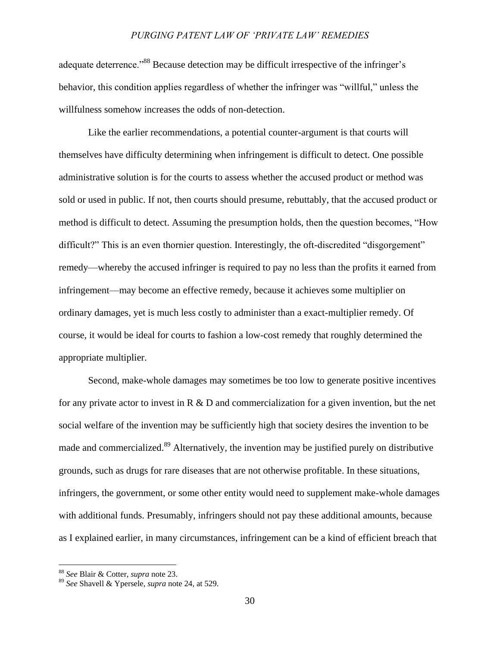adequate deterrence."<sup>88</sup> Because detection may be difficult irrespective of the infringer's behavior, this condition applies regardless of whether the infringer was "willful," unless the willfulness somehow increases the odds of non-detection.

Like the earlier recommendations, a potential counter-argument is that courts will themselves have difficulty determining when infringement is difficult to detect. One possible administrative solution is for the courts to assess whether the accused product or method was sold or used in public. If not, then courts should presume, rebuttably, that the accused product or method is difficult to detect. Assuming the presumption holds, then the question becomes, "How difficult?" This is an even thornier question. Interestingly, the oft-discredited "disgorgement" remedy—whereby the accused infringer is required to pay no less than the profits it earned from infringement—may become an effective remedy, because it achieves some multiplier on ordinary damages, yet is much less costly to administer than a exact-multiplier remedy. Of course, it would be ideal for courts to fashion a low-cost remedy that roughly determined the appropriate multiplier.

Second, make-whole damages may sometimes be too low to generate positive incentives for any private actor to invest in  $R \& D$  and commercialization for a given invention, but the net social welfare of the invention may be sufficiently high that society desires the invention to be made and commercialized.<sup>89</sup> Alternatively, the invention may be justified purely on distributive grounds, such as drugs for rare diseases that are not otherwise profitable. In these situations, infringers, the government, or some other entity would need to supplement make-whole damages with additional funds. Presumably, infringers should not pay these additional amounts, because as I explained earlier, in many circumstances, infringement can be a kind of efficient breach that

<sup>88</sup> *See* Blair & Cotter, *supra* note [23.](#page-6-1)

<sup>89</sup> *See* Shavell & Ypersele, *supra* not[e 24,](#page-6-2) at 529.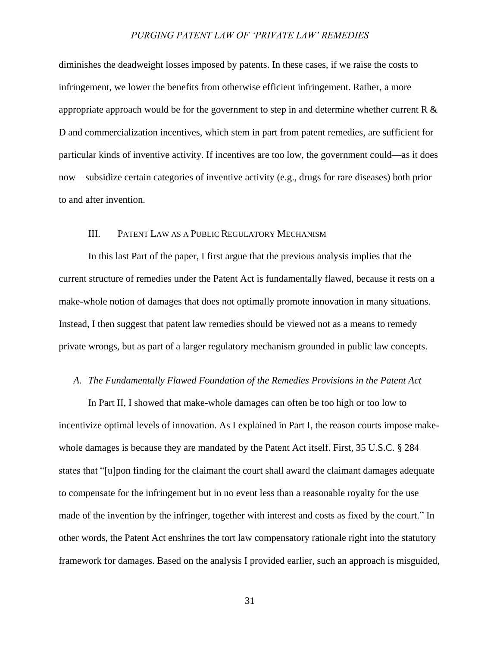diminishes the deadweight losses imposed by patents. In these cases, if we raise the costs to infringement, we lower the benefits from otherwise efficient infringement. Rather, a more appropriate approach would be for the government to step in and determine whether current R  $\&$ D and commercialization incentives, which stem in part from patent remedies, are sufficient for particular kinds of inventive activity. If incentives are too low, the government could—as it does now—subsidize certain categories of inventive activity (e.g., drugs for rare diseases) both prior to and after invention.

# III. PATENT LAW AS A PUBLIC REGULATORY MECHANISM

In this last Part of the paper, I first argue that the previous analysis implies that the current structure of remedies under the Patent Act is fundamentally flawed, because it rests on a make-whole notion of damages that does not optimally promote innovation in many situations. Instead, I then suggest that patent law remedies should be viewed not as a means to remedy private wrongs, but as part of a larger regulatory mechanism grounded in public law concepts.

#### *A. The Fundamentally Flawed Foundation of the Remedies Provisions in the Patent Act*

In Part II, I showed that make-whole damages can often be too high or too low to incentivize optimal levels of innovation. As I explained in Part I, the reason courts impose makewhole damages is because they are mandated by the Patent Act itself. First, 35 U.S.C. § 284 states that "[u]pon finding for the claimant the court shall award the claimant damages adequate to compensate for the infringement but in no event less than a reasonable royalty for the use made of the invention by the infringer, together with interest and costs as fixed by the court." In other words, the Patent Act enshrines the tort law compensatory rationale right into the statutory framework for damages. Based on the analysis I provided earlier, such an approach is misguided,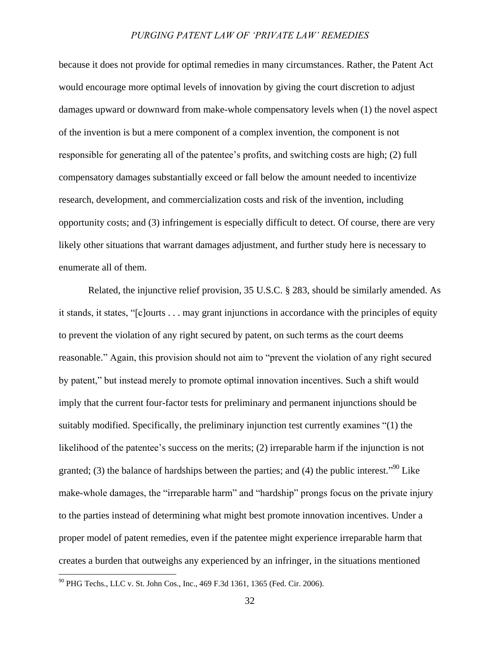because it does not provide for optimal remedies in many circumstances. Rather, the Patent Act would encourage more optimal levels of innovation by giving the court discretion to adjust damages upward or downward from make-whole compensatory levels when (1) the novel aspect of the invention is but a mere component of a complex invention, the component is not responsible for generating all of the patentee"s profits, and switching costs are high; (2) full compensatory damages substantially exceed or fall below the amount needed to incentivize research, development, and commercialization costs and risk of the invention, including opportunity costs; and (3) infringement is especially difficult to detect. Of course, there are very likely other situations that warrant damages adjustment, and further study here is necessary to enumerate all of them.

Related, the injunctive relief provision, 35 U.S.C. § 283, should be similarly amended. As it stands, it states, "[c]ourts . . . may grant injunctions in accordance with the principles of equity to prevent the violation of any right secured by patent, on such terms as the court deems reasonable." Again, this provision should not aim to "prevent the violation of any right secured by patent," but instead merely to promote optimal innovation incentives. Such a shift would imply that the current four-factor tests for preliminary and permanent injunctions should be suitably modified. Specifically, the preliminary injunction test currently examines "(1) the likelihood of the patentee's success on the merits; (2) irreparable harm if the injunction is not granted; (3) the balance of hardships between the parties; and (4) the public interest.<sup> $90$ </sup> Like make-whole damages, the "irreparable harm" and "hardship" prongs focus on the private injury to the parties instead of determining what might best promote innovation incentives. Under a proper model of patent remedies, even if the patentee might experience irreparable harm that creates a burden that outweighs any experienced by an infringer, in the situations mentioned

<sup>90</sup> PHG Techs., LLC v. St. John Cos., Inc., 469 F.3d 1361, 1365 (Fed. Cir. 2006).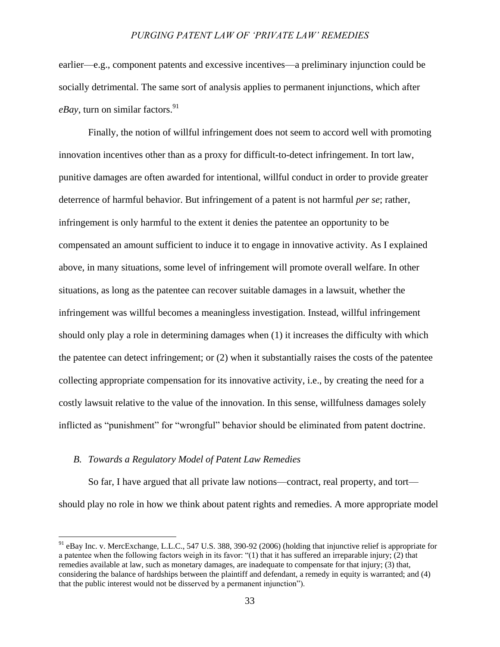earlier—e.g., component patents and excessive incentives—a preliminary injunction could be socially detrimental. The same sort of analysis applies to permanent injunctions, which after  $eBav$ , turn on similar factors.<sup>91</sup>

Finally, the notion of willful infringement does not seem to accord well with promoting innovation incentives other than as a proxy for difficult-to-detect infringement. In tort law, punitive damages are often awarded for intentional, willful conduct in order to provide greater deterrence of harmful behavior. But infringement of a patent is not harmful *per se*; rather, infringement is only harmful to the extent it denies the patentee an opportunity to be compensated an amount sufficient to induce it to engage in innovative activity. As I explained above, in many situations, some level of infringement will promote overall welfare. In other situations, as long as the patentee can recover suitable damages in a lawsuit, whether the infringement was willful becomes a meaningless investigation. Instead, willful infringement should only play a role in determining damages when (1) it increases the difficulty with which the patentee can detect infringement; or (2) when it substantially raises the costs of the patentee collecting appropriate compensation for its innovative activity, i.e., by creating the need for a costly lawsuit relative to the value of the innovation. In this sense, willfulness damages solely inflicted as "punishment" for "wrongful" behavior should be eliminated from patent doctrine.

#### *B. Towards a Regulatory Model of Patent Law Remedies*

 $\overline{a}$ 

So far, I have argued that all private law notions—contract, real property, and tort should play no role in how we think about patent rights and remedies. A more appropriate model

<sup>&</sup>lt;sup>91</sup> eBay Inc. v. MercExchange, L.L.C., 547 U.S. 388, 390-92 (2006) (holding that injunctive relief is appropriate for a patentee when the following factors weigh in its favor: "(1) that it has suffered an irreparable injury; (2) that remedies available at law, such as monetary damages, are inadequate to compensate for that injury; (3) that, considering the balance of hardships between the plaintiff and defendant, a remedy in equity is warranted; and (4) that the public interest would not be disserved by a permanent injunction").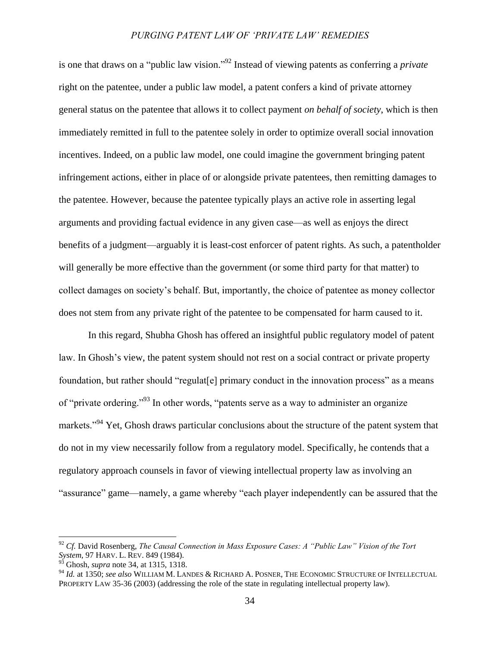is one that draws on a "public law vision." <sup>92</sup> Instead of viewing patents as conferring a *private* right on the patentee, under a public law model, a patent confers a kind of private attorney general status on the patentee that allows it to collect payment *on behalf of society*, which is then immediately remitted in full to the patentee solely in order to optimize overall social innovation incentives. Indeed, on a public law model, one could imagine the government bringing patent infringement actions, either in place of or alongside private patentees, then remitting damages to the patentee. However, because the patentee typically plays an active role in asserting legal arguments and providing factual evidence in any given case—as well as enjoys the direct benefits of a judgment—arguably it is least-cost enforcer of patent rights. As such, a patentholder will generally be more effective than the government (or some third party for that matter) to collect damages on society"s behalf. But, importantly, the choice of patentee as money collector does not stem from any private right of the patentee to be compensated for harm caused to it.

In this regard, Shubha Ghosh has offered an insightful public regulatory model of patent law. In Ghosh's view, the patent system should not rest on a social contract or private property foundation, but rather should "regulat[e] primary conduct in the innovation process" as a means of "private ordering."<sup>93</sup> In other words, "patents serve as a way to administer an organize markets."<sup>94</sup> Yet, Ghosh draws particular conclusions about the structure of the patent system that do not in my view necessarily follow from a regulatory model. Specifically, he contends that a regulatory approach counsels in favor of viewing intellectual property law as involving an "assurance" game—namely, a game whereby "each player independently can be assured that the

<sup>92</sup> *Cf.* David Rosenberg, *The Causal Connection in Mass Exposure Cases: A "Public Law" Vision of the Tort System*, 97 HARV. L. REV. 849 (1984).

<sup>&</sup>lt;sup>93</sup> Ghosh, *supra* note [34,](#page-10-0) at 1315, 1318.

<sup>94</sup> *Id.* at 1350; *see also* WILLIAM M. LANDES & RICHARD A. POSNER, THE ECONOMIC STRUCTURE OF INTELLECTUAL PROPERTY LAW 35-36 (2003) (addressing the role of the state in regulating intellectual property law).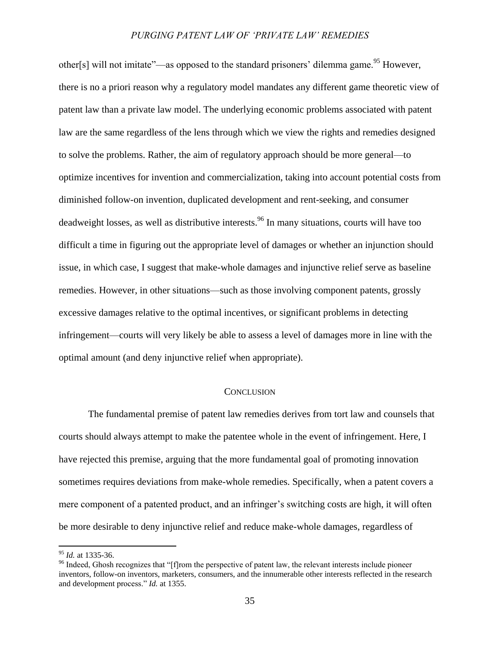other[s] will not imitate"—as opposed to the standard prisoners' dilemma game.<sup>95</sup> However, there is no a priori reason why a regulatory model mandates any different game theoretic view of patent law than a private law model. The underlying economic problems associated with patent law are the same regardless of the lens through which we view the rights and remedies designed to solve the problems. Rather, the aim of regulatory approach should be more general—to optimize incentives for invention and commercialization, taking into account potential costs from diminished follow-on invention, duplicated development and rent-seeking, and consumer deadweight losses, as well as distributive interests.<sup>96</sup> In many situations, courts will have too difficult a time in figuring out the appropriate level of damages or whether an injunction should issue, in which case, I suggest that make-whole damages and injunctive relief serve as baseline remedies. However, in other situations—such as those involving component patents, grossly excessive damages relative to the optimal incentives, or significant problems in detecting infringement—courts will very likely be able to assess a level of damages more in line with the optimal amount (and deny injunctive relief when appropriate).

# **CONCLUSION**

The fundamental premise of patent law remedies derives from tort law and counsels that courts should always attempt to make the patentee whole in the event of infringement. Here, I have rejected this premise, arguing that the more fundamental goal of promoting innovation sometimes requires deviations from make-whole remedies. Specifically, when a patent covers a mere component of a patented product, and an infringer"s switching costs are high, it will often be more desirable to deny injunctive relief and reduce make-whole damages, regardless of

<sup>95</sup> *Id.* at 1335-36.

<sup>&</sup>lt;sup>96</sup> Indeed, Ghosh recognizes that "[f]rom the perspective of patent law, the relevant interests include pioneer inventors, follow-on inventors, marketers, consumers, and the innumerable other interests reflected in the research and development process." *Id.* at 1355.